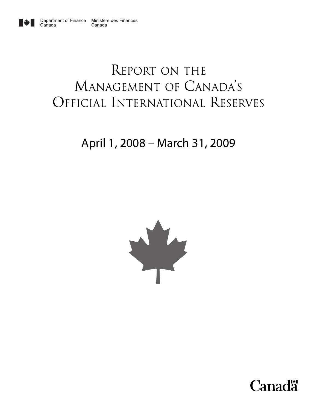

Canada

# REPORT ON THE MANAGEMENT OF CANADA'S OFFICIAL INTERNATIONAL RESERVES

# April 1, 2008 – March 31, 2009



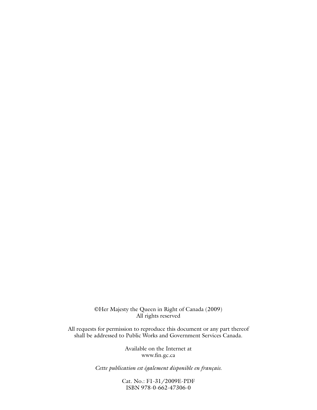©Her Majesty the Queen in Right of Canada (2009) All rights reserved

All requests for permission to reproduce this document or any part thereof shall be addressed to Public Works and Government Services Canada.

> Available on the Internet at www.fin.gc.ca

*Cette publication est également disponible en français.*

Cat. No.: F1-31/2009E-PDF ISBN 978-0-662-47306-0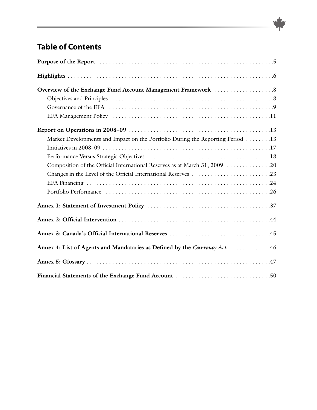# <span id="page-2-0"></span>**Table of [Contents](#page-2-0)**

| Overview of the Exchange Fund Account Management Framework 8                   |
|--------------------------------------------------------------------------------|
|                                                                                |
|                                                                                |
|                                                                                |
|                                                                                |
| Market Developments and Impact on the Portfolio During the Reporting Period 13 |
|                                                                                |
|                                                                                |
| Composition of the Official International Reserves as at March 31, 2009 20     |
| Changes in the Level of the Official International Reserves 23                 |
|                                                                                |
|                                                                                |
|                                                                                |
|                                                                                |
|                                                                                |
| Annex 4: List of Agents and Mandataries as Defined by the Currency Act 46      |
|                                                                                |
|                                                                                |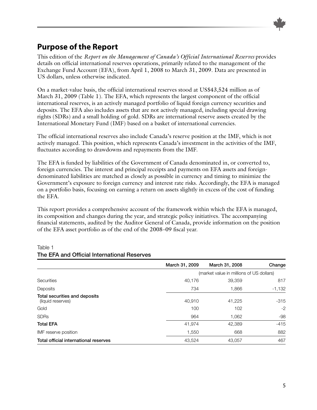

# <span id="page-4-0"></span>**Purpose of the Report**

This edition of the *Report on the Management of Canada's Official International Reserves* provides details on official international reserves operations, primarily related to the management of the Exchange Fund Account (EFA), from April 1, 2008 to March 31, 2009. Data are presented in US dollars, unless otherwise indicated.

On a market-value basis, the official international reserves stood at US\$43,524 million as of March 31, 2009 (Table 1). The EFA, which represents the largest component of the official international reserves, is an actively managed portfolio of liquid foreign currency securities and deposits. The EFA also includes assets that are not actively managed, including special drawing rights (SDRs) and a small holding of gold. SDRs are international reserve assets created by the International Monetary Fund (IMF) based on a basket of international currencies.

The official international reserves also include Canada's reserve position at the IMF, which is not actively managed. This position, which represents Canada's investment in the activities of the IMF, fluctuates according to drawdowns and repayments from the IMF.

The EFA is funded by liabilities of the Government of Canada denominated in, or converted to, foreign currencies. The interest and principal receipts and payments on EFA assets and foreigndenominated liabilities are matched as closely as possible in currency and timing to minimize the Government's exposure to foreign currency and interest rate risks. Accordingly, the EFA is managed on a portfolio basis, focusing on earning a return on assets slightly in excess of the cost of funding the EFA.

This report provides a comprehensive account of the framework within which the EFA is managed, its composition and changes during the year, and strategic policy initiatives. The accompanying financial statements, audited by the Auditor General of Canada, provide information on the position of the EFA asset portfolio as of the end of the 2008–09 fiscal year.

|                                                            | March 31, 2009 | March 31, 2008                           | Change         |  |  |  |
|------------------------------------------------------------|----------------|------------------------------------------|----------------|--|--|--|
|                                                            |                | (market value in millions of US dollars) |                |  |  |  |
| <b>Securities</b>                                          | 40,176         | 39,359                                   | 817            |  |  |  |
| Deposits                                                   | 734            | 1,866                                    | $-1,132$       |  |  |  |
| Total securities and deposits<br>(liquid reserves)<br>Gold | 40,910<br>100  | 41,225<br>102                            | $-315$<br>$-2$ |  |  |  |
| <b>SDRs</b>                                                | 964            | 1,062                                    | -98            |  |  |  |
| <b>Total EFA</b>                                           | 41,974         | 42,389                                   | $-415$         |  |  |  |
| IMF reserve position                                       | 1,550          | 668                                      | 882            |  |  |  |
| Total official international reserves                      | 43,524         | 43,057                                   | 467            |  |  |  |

#### Table 1 **The EFA and Official International Reserves**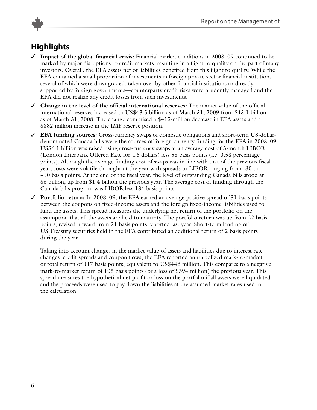

# **Highlights**

- ✓ **Impact of the global @nancial crisis:** Financial market conditions in 2008–09 continued to be marked by major disruptions to credit markets, resulting in a flight to quality on the part of many investors. Overall, the EFA assets net of liabilities benefited from this flight to quality. While the EFA contained a small proportion of investments in foreign private sector financial institutions several of which were downgraded, taken over by other financial institutions or directly supported by foreign governments—counterparty credit risks were prudently managed and the EFA did not realize any credit losses from such investments.
- ✓ **Change in the level of the of@cial international reserves:** The market value of the ofUcial international reserves increased to US\$43.5 billion as of March 31, 2009 from \$43.1 billion as of March 31, 2008. The change comprised a \$415-million decrease in EFA assets and a \$882 million increase in the IMF reserve position.
- ✓ **EFA funding sources:** Cross-currency swaps of domestic obligations and short-term US-dollardenominated Canada bills were the sources of foreign currency funding for the EFA in 2008–09. US\$6.1 billion was raised using cross-currency swaps at an average cost of 3-month LIBOR (London Interbank Offered Rate for US dollars) less 58 basis points (i.e. 0.58 percentage points). Although the average funding cost of swaps was in line with that of the previous fiscal year, costs were volatile throughout the year with spreads to LIBOR ranging from -80 to +10 basis points. At the end of the fiscal year, the level of outstanding Canada bills stood at \$6 billion, up from \$1.4 billion the previous year. The average cost of funding through the Canada bills program was LIBOR less 134 basis points.
- ✓ **Portfolio return:** In 2008–09, the EFA earned an average positive spread of 31 basis points between the coupons on fixed-income assets and the foreign fixed-income liabilities used to fund the assets. This spread measures the underlying net return of the portfolio on the assumption that all the assets are held to maturity. The portfolio return was up from 22 basis points, revised upward from 21 basis points reported last year. Short-term lending of US Treasury securities held in the EFA contributed an additional return of 2 basis points during the year.

Taking into account changes in the market value of assets and liabilities due to interest rate changes, credit spreads and coupon flows, the EFA reported an unrealized mark-to-market or total return of 117 basis points, equivalent to US\$446 million. This compares to a negative mark-to-market return of 105 basis points (or a loss of \$394 million) the previous year. This spread measures the hypothetical net profit or loss on the portfolio if all assets were liquidated and the proceeds were used to pay down the liabilities at the assumed market rates used in the calculation.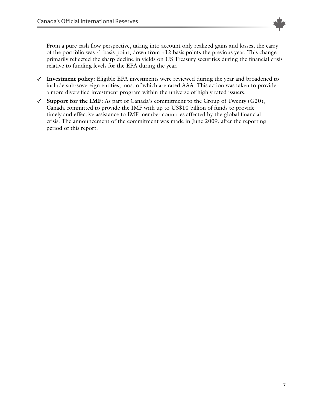

<span id="page-6-0"></span>From a pure cash flow perspective, taking into account only realized gains and losses, the carry of the portfolio was -1 basis point, down from +12 basis points the previous year. This change primarily reflected the sharp decline in yields on US Treasury securities during the financial crisis relative to funding levels for the EFA during the year.

- ✓ **Investment policy:** Eligible EFA investments were reviewed during the year and broadened to include sub-sovereign entities, most of which are rated AAA. This action was taken to provide a more diversified investment program within the universe of highly rated issuers.
- ✓ **Support for the IMF:** As part of Canada's commitment to the Group of Twenty (G20), Canada committed to provide the IMF with up to US\$10 billion of funds to provide timely and effective assistance to IMF member countries affected by the global financial crisis. The announcement of the commitment was made in June 2009, after the reporting period of this report.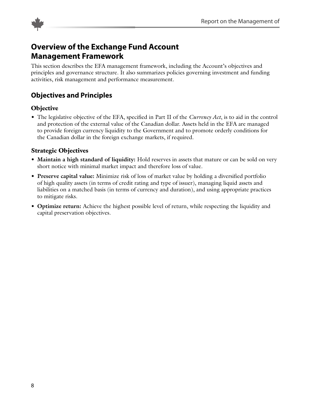<span id="page-7-0"></span>

# **Overview of the Exchange Fund Account Management Framework**

This section describes the EFA management framework, including the Account's objectives and principles and governance structure. It also summarizes policies governing investment and funding activities, risk management and performance measurement.

# **Objectives and Principles**

#### **Objective**

• The legislative objective of the EFA, specified in Part II of the *Currency Act*, is to aid in the control and protection of the external value of the Canadian dollar. Assets held in the EFA are managed to provide foreign currency liquidity to the Government and to promote orderly conditions for the Canadian dollar in the foreign exchange markets, if required.

#### **Strategic Objectives**

- **Maintain a high standard of liquidity:** Hold reserves in assets that mature or can be sold on very short notice with minimal market impact and therefore loss of value.
- **Preserve capital value:** Minimize risk of loss of market value by holding a diversified portfolio of high quality assets (in terms of credit rating and type of issuer), managing liquid assets and liabilities on a matched basis (in terms of currency and duration), and using appropriate practices to mitigate risks.
- **Optimize return:** Achieve the highest possible level of return, while respecting the liquidity and capital preservation objectives.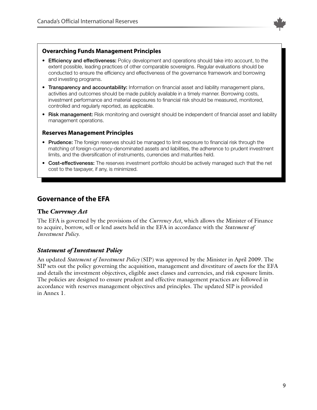

#### <span id="page-8-0"></span>**Overarching Funds Management Principles**

- **Efficiency and effectiveness:** Policy development and operations should take into account, to the extent possible, leading practices of other comparable sovereigns. Regular evaluations should be conducted to ensure the efficiency and effectiveness of the governance framework and borrowing and investing programs.
- **Transparency and accountability:** Information on financial asset and liability management plans, activities and outcomes should be made publicly available in a timely manner. Borrowing costs, investment performance and material exposures to financial risk should be measured, monitored, controlled and regularly reported, as applicable.
- **Risk management:** Risk monitoring and oversight should be independent of financial asset and liability management operations.

#### **Reserves Management Principles**

- **Prudence:** The foreign reserves should be managed to limit exposure to financial risk through the matching of foreign-currency-denominated assets and liabilities, the adherence to prudent investment limits, and the diversification of instruments, currencies and maturities held.
- **Cost-effectiveness:** The reserves investment portfolio should be actively managed such that the net cost to the taxpayer, if any, is minimized.

## **Governance of the EFA**

#### **The** *Currency Act*

The EFA is governed by the provisions of the *Currency Act*, which allows the Minister of Finance to acquire, borrow, sell or lend assets held in the EFA in accordance with the *Statement of Investment Policy*.

#### *Statement of Investment Policy*

An updated *Statement of Investment Policy* (SIP) was approved by the Minister in April 2009. The SIP sets out the policy governing the acquisition, management and divestiture of assets for the EFA and details the investment objectives, eligible asset classes and currencies, and risk exposure limits. The policies are designed to ensure prudent and effective management practices are followed in accordance with reserves management objectives and principles. The updated SIP is provided in Annex 1.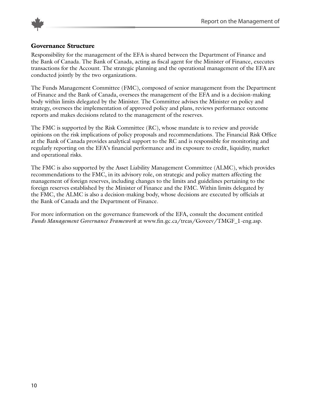

#### **Governance Structure**

Responsibility for the management of the EFA is shared between the Department of Finance and the Bank of Canada. The Bank of Canada, acting as fiscal agent for the Minister of Finance, executes transactions for the Account. The strategic planning and the operational management of the EFA are conducted jointly by the two organizations.

The Funds Management Committee (FMC), composed of senior management from the Department of Finance and the Bank of Canada, oversees the management of the EFA and is a decision-making body within limits delegated by the Minister. The Committee advises the Minister on policy and strategy, oversees the implementation of approved policy and plans, reviews performance outcome reports and makes decisions related to the management of the reserves.

The FMC is supported by the Risk Committee (RC), whose mandate is to review and provide opinions on the risk implications of policy proposals and recommendations. The Financial Risk Office at the Bank of Canada provides analytical support to the RC and is responsible for monitoring and regularly reporting on the EFA's financial performance and its exposure to credit, liquidity, market and operational risks.

The FMC is also supported by the Asset Liability Management Committee (ALMC), which provides recommendations to the FMC, in its advisory role, on strategic and policy matters affecting the management of foreign reserves, including changes to the limits and guidelines pertaining to the foreign reserves established by the Minister of Finance and the FMC. Within limits delegated by the FMC, the ALMC is also a decision-making body, whose decisions are executed by officials at the Bank of Canada and the Department of Finance.

For more information on the governance framework of the EFA, consult the document entitled *Funds Management Governance Framework* at www.fin.gc.ca/treas/Goveev/TMGF\_1-eng.asp.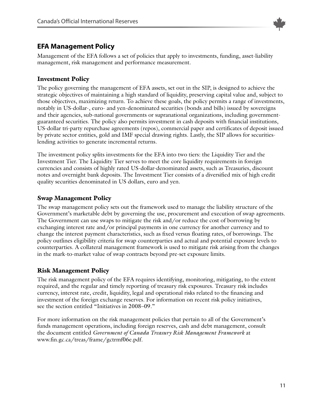

## <span id="page-10-0"></span>**EFA Management Policy**

Management of the EFA follows a set of policies that apply to investments, funding, asset-liability management, risk management and performance measurement.

#### **Investment Policy**

The policy governing the management of EFA assets, set out in the SIP, is designed to achieve the strategic objectives of maintaining a high standard of liquidity, preserving capital value and, subject to those objectives, maximizing return. To achieve these goals, the policy permits a range of investments, notably in US-dollar-, euro- and yen-denominated securities (bonds and bills) issued by sovereigns and their agencies, sub-national governments or supranational organizations, including governmentguaranteed securities. The policy also permits investment in cash deposits with financial institutions, US-dollar tri-party repurchase agreements (repos), commercial paper and certificates of deposit issued by private sector entities, gold and IMF special drawing rights. Lastly, the SIP allows for securitieslending activities to generate incremental returns.

The investment policy splits investments for the EFA into two tiers: the Liquidity Tier and the Investment Tier. The Liquidity Tier serves to meet the core liquidity requirements in foreign currencies and consists of highly rated US-dollar-denominated assets, such as Treasuries, discount notes and overnight bank deposits. The Investment Tier consists of a diversified mix of high credit quality securities denominated in US dollars, euro and yen.

#### **Swap Management Policy**

The swap management policy sets out the framework used to manage the liability structure of the Government's marketable debt by governing the use, procurement and execution of swap agreements. The Government can use swaps to mitigate the risk and/or reduce the cost of borrowing by exchanging interest rate and/or principal payments in one currency for another currency and to change the interest payment characteristics, such as fixed versus floating rates, of borrowings. The policy outlines eligibility criteria for swap counterparties and actual and potential exposure levels to counterparties. A collateral management framework is used to mitigate risk arising from the changes in the mark-to-market value of swap contracts beyond pre-set exposure limits.

## **Risk Management Policy**

The risk management policy of the EFA requires identifying, monitoring, mitigating, to the extent required, and the regular and timely reporting of treasury risk exposures. Treasury risk includes currency, interest rate, credit, liquidity, legal and operational risks related to the financing and investment of the foreign exchange reserves. For information on recent risk policy initiatives, see the section entitled "Initiatives in 2008–09."

For more information on the risk management policies that pertain to all of the Government's funds management operations, including foreign reserves, cash and debt management, consult the document entitled *Government of Canada Treasury Risk Management Framework* at www.fin.gc.ca/treas/frame/gctrmf06e.pdf.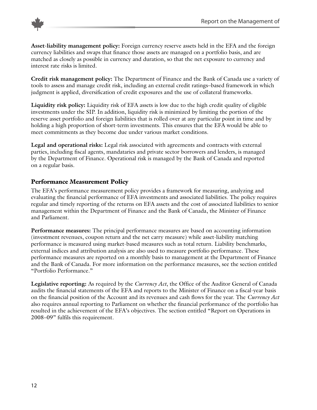



**Asset-liability management policy:** Foreign currency reserve assets held in the EFA and the foreign currency liabilities and swaps that finance those assets are managed on a portfolio basis, and are matched as closely as possible in currency and duration, so that the net exposure to currency and interest rate risks is limited.

**Credit risk management policy:** The Department of Finance and the Bank of Canada use a variety of tools to assess and manage credit risk, including an external credit ratings–based framework in which judgment is applied, diversification of credit exposures and the use of collateral frameworks.

**Liquidity risk policy:** Liquidity risk of EFA assets is low due to the high credit quality of eligible investments under the SIP. In addition, liquidity risk is minimized by limiting the portion of the reserve asset portfolio and foreign liabilities that is rolled over at any particular point in time and by holding a high proportion of short-term investments. This ensures that the EFA would be able to meet commitments as they become due under various market conditions.

**Legal and operational risks:** Legal risk associated with agreements and contracts with external parties, including fiscal agents, mandataries and private sector borrowers and lenders, is managed by the Department of Finance. Operational risk is managed by the Bank of Canada and reported on a regular basis.

#### **Performance Measurement Policy**

The EFA's performance measurement policy provides a framework for measuring, analyzing and evaluating the financial performance of EFA investments and associated liabilities. The policy requires regular and timely reporting of the returns on EFA assets and the cost of associated liabilities to senior management within the Department of Finance and the Bank of Canada, the Minister of Finance and Parliament.

**Performance measures:** The principal performance measures are based on accounting information (investment revenues, coupon return and the net carry measure) while asset-liability matching performance is measured using market-based measures such as total return. Liability benchmarks, external indices and attribution analysis are also used to measure portfolio performance. These performance measures are reported on a monthly basis to management at the Department of Finance and the Bank of Canada. For more information on the performance measures, see the section entitled "Portfolio Performance."

**Legislative reporting:** As required by the *Currency Act*, the Office of the Auditor General of Canada audits the financial statements of the EFA and reports to the Minister of Finance on a fiscal-year basis on the financial position of the Account and its revenues and cash flows for the year. The *Currency Act* also requires annual reporting to Parliament on whether the financial performance of the portfolio has resulted in the achievement of the EFA's objectives. The section entitled "Report on Operations in 2008–09" fulfils this requirement.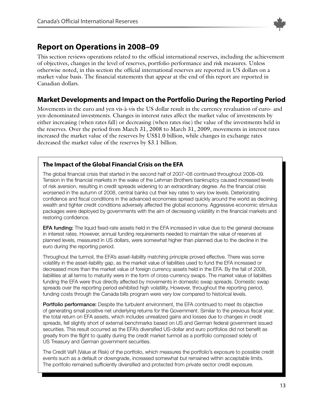

# <span id="page-12-0"></span>**Report on Operations in 2008–09**

This section reviews operations related to the official international reserves, including the achievement of objectives, changes in the level of reserves, portfolio performance and risk measures. Unless otherwise noted, in this section the official international reserves are reported in US dollars on a market-value basis. The financial statements that appear at the end of this report are reported in Canadian dollars.

## **Market Developments and Impact on the Portfolio During the Reporting Period**

Movements in the euro and yen vis-à-vis the US dollar result in the currency revaluation of euro- and yen-denominated investments. Changes in interest rates affect the market value of investments by either increasing (when rates fall) or decreasing (when rates rise) the value of the investments held in the reserves. Over the period from March 31, 2008 to March 31, 2009, movements in interest rates increased the market value of the reserves by US\$1.0 billion, while changes in exchange rates decreased the market value of the reserves by \$3.1 billion.

## **The Impact of the Global Financial Crisis on the EFA**

The global financial crisis that started in the second half of 2007–08 continued throughout 2008–09. Tension in the financial markets in the wake of the Lehman Brothers bankruptcy caused increased levels of risk aversion, resulting in credit spreads widening to an extraordinary degree. As the financial crisis worsened in the autumn of 2008, central banks cut their key rates to very low levels. Deteriorating confidence and fiscal conditions in the advanced economies spread quickly around the world as declining wealth and tighter credit conditions adversely affected the global economy. Aggressive economic stimulus packages were deployed by governments with the aim of decreasing volatility in the financial markets and restoring confidence.

**EFA funding:** The liquid fixed-rate assets held in the EFA increased in value due to the general decrease in interest rates. However, annual funding requirements needed to maintain the value of reserves at planned levels, measured in US dollars, were somewhat higher than planned due to the decline in the euro during the reporting period.

Throughout the turmoil, the EFA's asset-liability matching principle proved effective. There was some volatility in the asset-liability gap, as the market value of liabilities used to fund the EFA increased or decreased more than the market value of foreign currency assets held in the EFA. By the fall of 2008, liabilities at all terms to maturity were in the form of cross-currency swaps. The market value of liabilities funding the EFA were thus directly affected by movements in domestic swap spreads. Domestic swap spreads over the reporting period exhibited high volatility. However, throughout the reporting period, funding costs through the Canada bills program were very low compared to historical levels.

**Portfolio performance:** Despite the turbulent environment, the EFA continued to meet its objective of generating small positive net underlying returns for the Government. Similar to the previous fiscal year, the total return on EFA assets, which includes unrealized gains and losses due to changes in credit spreads, fell slightly short of external benchmarks based on US and German federal government issued securities. This result occurred as the EFA's diversified US-dollar and euro portfolios did not benefit as greatly from the flight to quality during the credit market turmoil as a portfolio composed solely of US Treasury and German government securities.

The Credit VaR (Value at Risk) of the portfolio, which measures the portfolio's exposure to possible credit events such as a default or downgrade, increased somewhat but remained within acceptable limits. The portfolio remained sufficiently diversified and protected from private sector credit exposure.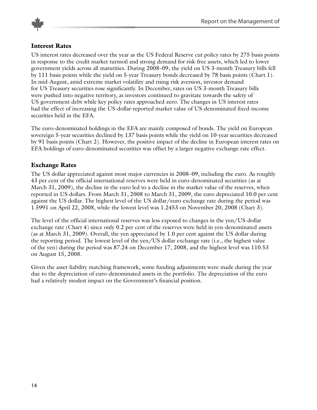



#### **Interest Rates**

US interest rates decreased over the year as the US Federal Reserve cut policy rates by 275 basis points in response to the credit market turmoil and strong demand for risk-free assets, which led to lower government yields across all maturities. During 2008–09, the yield on US 3-month Treasury bills fell by 111 basis points while the yield on 5-year Treasury bonds decreased by 78 basis points (Chart 1). In mid-August, amid extreme market volatility and rising risk aversion, investor demand for US Treasury securities rose significantly. In December, rates on US 3-month Treasury bills were pushed into negative territory, as investors continued to gravitate towards the safety of US government debt while key policy rates approached zero. The changes in US interest rates had the effect of increasing the US-dollar-reported market value of US-denominated fixed-income securities held in the EFA.

The euro-denominated holdings in the EFA are mainly composed of bonds. The yield on European sovereign 5-year securities declined by 137 basis points while the yield on 10-year securities decreased by 91 basis points (Chart 2). However, the positive impact of the decline in European interest rates on EFA holdings of euro-denominated securities was offset by a larger negative exchange rate effect.

#### **Exchange Rates**

The US dollar appreciated against most major currencies in 2008–09, including the euro. As roughly 43 per cent of the official international reserves were held in euro-denominated securities (as at March 31, 2009), the decline in the euro led to a decline in the market value of the reserves, when reported in US dollars. From March 31, 2008 to March 31, 2009, the euro depreciated 10.0 per cent against the US dollar. The highest level of the US dollar/euro exchange rate during the period was 1.5991 on April 22, 2008, while the lowest level was 1.2453 on November 20, 2008 (Chart 3).

The level of the official international reserves was less exposed to changes in the yen/US-dollar exchange rate (Chart 4) since only 0.2 per cent of the reserves were held in yen-denominated assets (as at March 31, 2009). Overall, the yen appreciated by 1.0 per cent against the US dollar during the reporting period. The lowest level of the yen/US dollar exchange rate (i.e., the highest value of the yen) during the period was 87.24 on December 17, 2008, and the highest level was 110.53 on August 15, 2008.

Given the asset-liability matching framework, some funding adjustments were made during the year due to the depreciation of euro-denominated assets in the portfolio. The depreciation of the euro had a relatively modest impact on the Government's financial position.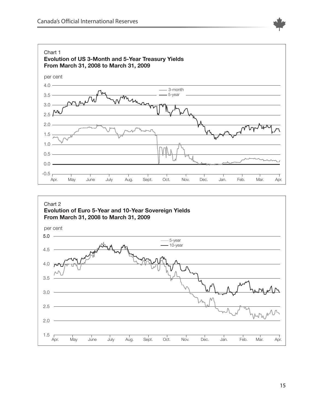



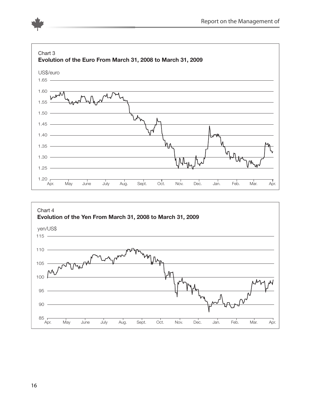



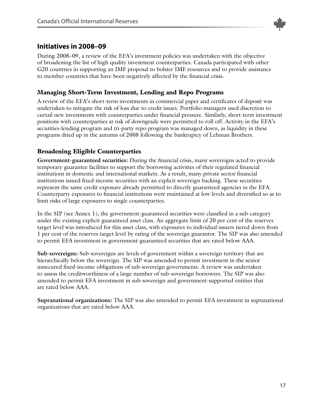

## <span id="page-16-0"></span>**Initiatives in 2008–09**

During 2008–09, a review of the EFA's investment policies was undertaken with the objective of broadening the list of high quality investment counterparties. Canada participated with other G20 countries in supporting an IMF proposal to bolster IMF resources and to provide assistance to member countries that have been negatively affected by the financial crisis.

#### **Managing Short-Term Investment, Lending and Repo Programs**

A review of the EFA's short-term investments in commercial paper and certificates of deposit was undertaken to mitigate the risk of loss due to credit issues. Portfolio managers used discretion to curtail new investments with counterparties under financial pressure. Similarly, short-term investment positions with counterparties at risk of downgrade were permitted to roll off. Activity in the EFA's securities-lending program and tri-party repo program was managed down, as liquidity in these programs dried up in the autumn of 2008 following the bankruptcy of Lehman Brothers.

## **Broadening Eligible Counterparties**

**Government-guaranteed securities:** During the financial crisis, many sovereigns acted to provide temporary guarantee facilities to support the borrowing activities of their regulated financial institutions in domestic and international markets. As a result, many private sector financial institutions issued fixed-income securities with an explicit sovereign backing. These securities represent the same credit exposure already permitted to directly guaranteed agencies in the EFA. Counterparty exposures to financial institutions were maintained at low levels and diversified so as to limit risks of large exposures to single counterparties.

In the SIP (see Annex 1), the government-guaranteed securities were classified in a sub-category under the existing explicit guaranteed asset class. An aggregate limit of 20 per cent of the reserves target level was introduced for this asset class, with exposures to individual issuers tiered down from 1 per cent of the reserves target level by rating of the sovereign guarantor. The SIP was also amended to permit EFA investment in government-guaranteed securities that are rated below AAA.

**Sub-sovereigns:** Sub-sovereigns are levels of government within a sovereign territory that are hierarchically below the sovereign. The SIP was amended to permit investment in the senior unsecured fixed-income obligations of sub-sovereign governments. A review was undertaken to assess the creditworthiness of a large number of sub-sovereign borrowers. The SIP was also amended to permit EFA investment in sub-sovereign and government-supported entities that are rated below AAA.

**Supranational organizations:** The SIP was also amended to permit EFA investment in supranational organizations that are rated below AAA.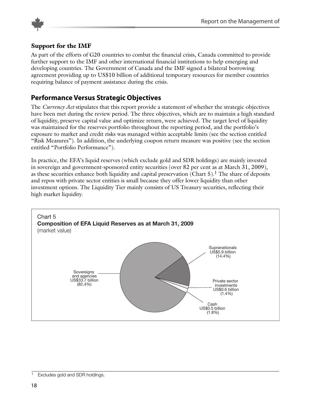

#### **Support for the IMF**

As part of the efforts of G20 countries to combat the financial crisis, Canada committed to provide further support to the IMF and other international financial institutions to help emerging and developing countries. The Government of Canada and the IMF signed a bilateral borrowing agreement providing up to US\$10 billion of additional temporary resources for member countries requiring balance of payment assistance during the crisis.

## **Performance Versus Strategic Objectives**

The *Currency Act* stipulates that this report provide a statement of whether the strategic objectives have been met during the review period. The three objectives, which are to maintain a high standard of liquidity, preserve capital value and optimize return, were achieved. The target level of liquidity was maintained for the reserves portfolio throughout the reporting period, and the portfolio's exposure to market and credit risks was managed within acceptable limits (see the section entitled "Risk Measures"). In addition, the underlying coupon return measure was positive (see the section entitled "Portfolio Performance").

In practice, the EFA's liquid reserves (which exclude gold and SDR holdings) are mainly invested in sovereign and government-sponsored entity securities (over 82 per cent as at March 31, 2009), as these securities enhance both liquidity and capital preservation (Chart 5). The share of deposits and repos with private sector entities is small because they offer lower liquidity than other investment options. The Liquidity Tier mainly consists of US Treasury securities, reflecting their high market liquidity.



Excludes gold and SDR holdings.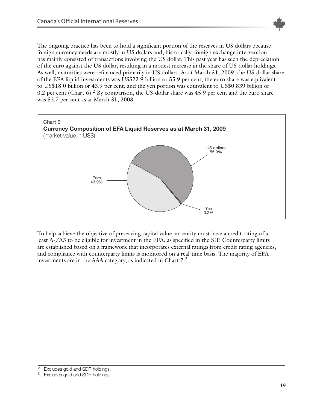

The ongoing practice has been to hold a significant portion of the reserves in US dollars because foreign currency needs are mostly in US dollars and, historically, foreign exchange intervention has mainly consisted of transactions involving the US dollar. This past year has seen the depreciation of the euro against the US dollar, resulting in a modest increase in the share of US-dollar holdings. As well, maturities were refinanced primarily in US dollars. As at March 31, 2009, the US-dollar share of the EFA liquid investments was US\$22.9 billion or 55.9 per cent, the euro share was equivalent to US\$18.0 billion or 43.9 per cent, and the yen portion was equivalent to US\$0.839 billion or 0.2 per cent (Chart 6).<sup>2</sup> By comparison, the US-dollar share was 45.9 per cent and the euro share was 52.7 per cent as at March 31, 2008.



To help achieve the objective of preserving capital value, an entity must have a credit rating of at least A-/A3 to be eligible for investment in the EFA, as specified in the SIP. Counterparty limits are established based on a framework that incorporates external ratings from credit rating agencies, and compliance with counterparty limits is monitored on a real-time basis. The majority of EFA investments are in the AAA category, as indicated in Chart  $7<sup>3</sup>$ 

<sup>&</sup>lt;sup>2</sup> Excludes gold and SDR holdings.

<sup>&</sup>lt;sup>3</sup> Excludes gold and SDR holdings.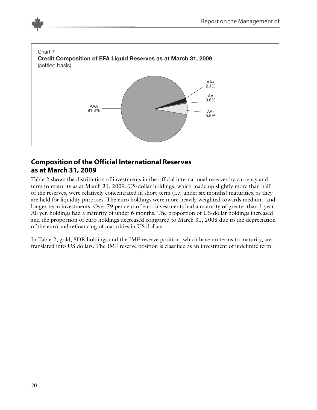<span id="page-19-0"></span>

## **Composition of the Official International Reserves as at March 31, 2009**

Table 2 shows the distribution of investments in the official international reserves by currency and term to maturity as at March 31, 2009. US-dollar holdings, which made up slightly more than half of the reserves, were relatively concentrated in short-term (i.e. under six months) maturities, as they are held for liquidity purposes. The euro holdings were more heavily weighted towards medium- and longer-term investments. Over 79 per cent of euro investments had a maturity of greater than 1 year. All yen holdings had a maturity of under 6 months. The proportion of US-dollar holdings increased and the proportion of euro holdings decreased compared to March 31, 2008 due to the depreciation of the euro and refinancing of maturities in US dollars.

In Table 2, gold, SDR holdings and the IMF reserve position, which have no terms to maturity, are translated into US dollars. The IMF reserve position is classified as an investment of indefinite term.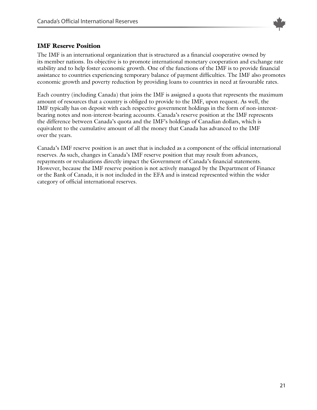

#### **IMF Reserve Position**

The IMF is an international organization that is structured as a financial cooperative owned by its member nations. Its objective is to promote international monetary cooperation and exchange rate stability and to help foster economic growth. One of the functions of the IMF is to provide financial assistance to countries experiencing temporary balance of payment difficulties. The IMF also promotes economic growth and poverty reduction by providing loans to countries in need at favourable rates.

Each country (including Canada) that joins the IMF is assigned a quota that represents the maximum amount of resources that a country is obliged to provide to the IMF, upon request. As well, the IMF typically has on deposit with each respective government holdings in the form of non-interestbearing notes and non-interest-bearing accounts. Canada's reserve position at the IMF represents the difference between Canada's quota and the IMF's holdings of Canadian dollars, which is equivalent to the cumulative amount of all the money that Canada has advanced to the IMF over the years.

Canada's IMF reserve position is an asset that is included as a component of the official international reserves. As such, changes in Canada's IMF reserve position that may result from advances, repayments or revaluations directly impact the Government of Canada's financial statements. However, because the IMF reserve position is not actively managed by the Department of Finance or the Bank of Canada, it is not included in the EFA and is instead represented within the wider category of official international reserves.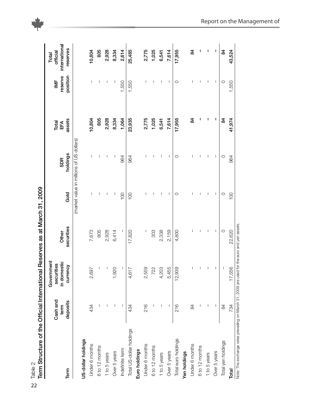| Term Structure of the Official International Reserves as at March 31, 2009<br>Table 2      |                              |                                                     |                     |         |                                          |                        |                               |                                                |
|--------------------------------------------------------------------------------------------|------------------------------|-----------------------------------------------------|---------------------|---------|------------------------------------------|------------------------|-------------------------------|------------------------------------------------|
| Term                                                                                       | Cash and<br>deposits<br>term | Government<br>in domestic<br>securities<br>currency | securities<br>Other | Gold    | holdings<br><b>SDR</b>                   | assets<br>Total<br>EFA | position<br>reserve<br>$\geq$ | international<br>reserves<br>official<br>Total |
|                                                                                            |                              |                                                     |                     |         | (market value in millions of US dollars) |                        |                               |                                                |
| US-dollar holdings                                                                         |                              |                                                     |                     |         |                                          |                        |                               |                                                |
| Under 6 months                                                                             | 434                          | 2,697                                               | 7,673               |         |                                          | 10,804                 |                               | 10,804                                         |
| 6 to 12 months                                                                             |                              | $\overline{\phantom{a}}$                            | 805                 |         |                                          | 805                    | T                             | 805                                            |
| 1 to 5 years                                                                               |                              |                                                     | 2,928               | I       | I                                        | 2,928                  | I                             | 2,928                                          |
| Over 5 years                                                                               |                              | 1,920                                               | 6,414               | I       | I                                        | 8,334                  | I                             | 8,334                                          |
| Indefinite term                                                                            |                              | J                                                   |                     | 100     | 964                                      | 1,064                  | 1,550                         | 2,614                                          |
| Total US-dollar holdings                                                                   | 434                          | 4,617                                               | 17,820              | 100     | 964                                      | 23,935                 | 1,550                         | 25,485                                         |
| Euro holdings                                                                              |                              |                                                     |                     |         |                                          |                        |                               |                                                |
| Under 6 months                                                                             | 216                          | 2,559                                               |                     |         |                                          | 2,775                  |                               | 2,775                                          |
| 6 to 12 months                                                                             |                              | 722                                                 | 303                 |         |                                          | 1,025                  |                               | 1,025                                          |
| 1 to 5 years                                                                               |                              | 4,203                                               | 2,338               | T       | T                                        | 6,541                  | T                             | 6,541                                          |
| Over 5 years                                                                               |                              | 55<br>5,4                                           | 2,159               |         | I                                        | 7,614                  | I                             | 7,614                                          |
| Total euro holdings                                                                        | 216                          | 12,939                                              | 4,800               | $\circ$ | $\circ$                                  | 17,955                 | $\circ$                       | 17,955                                         |
| Yen holdings                                                                               |                              |                                                     |                     |         |                                          |                        |                               |                                                |
| Under 6 months                                                                             | 84                           |                                                     |                     |         |                                          | 84                     | I                             | 84                                             |
| 6 to 12 months                                                                             |                              |                                                     |                     |         |                                          |                        |                               | т                                              |
| 1 to 5 years                                                                               |                              |                                                     | T                   | T       | T                                        | I                      | T                             | ı                                              |
| Over 5 years                                                                               |                              | I                                                   | $\overline{1}$      | T       | T                                        | I                      | T                             | I                                              |
| Total yen holdings                                                                         | 84                           |                                                     | $\circ$             | $\circ$ | $\circ$                                  | 84                     | $\circ$                       | $\overline{a}$                                 |
| Total                                                                                      | 734                          | 17,556                                              | 22,620              | 100     | 964                                      | 41,974                 | 1,550                         | 43,524                                         |
| Note: The exchange rates prevailing on March 31, 2009 are used for the euro and yen assets |                              |                                                     |                     |         |                                          |                        |                               |                                                |

2 2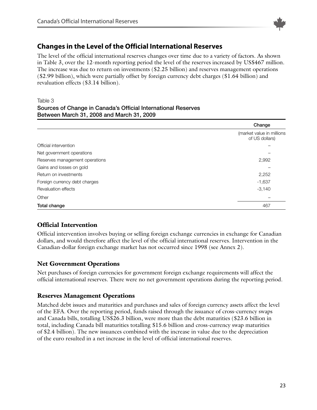

## <span id="page-22-0"></span>**Changes in the Level of the Official International Reserves**

The level of the official international reserves changes over time due to a variety of factors. As shown in Table 3, over the 12-month reporting period the level of the reserves increased by US\$467 million. The increase was due to return on investments (\$2.25 billion) and reserves management operations (\$2.99 billion), which were partially offset by foreign currency debt charges (\$1.64 billion) and revaluation effects (\$3.14 billion).

#### Table 3

#### **Sources** of Change in Canada's Official International Reserves **Between March 31, 2008 and March 31, 2009**

|                                | Change                                      |
|--------------------------------|---------------------------------------------|
|                                | (market value in millions<br>of US dollars) |
| Official intervention          |                                             |
| Net government operations      |                                             |
| Reserves management operations | 2,992                                       |
| Gains and losses on gold       |                                             |
| Return on investments          | 2,252                                       |
| Foreign currency debt charges  | $-1,637$                                    |
| <b>Revaluation effects</b>     | $-3,140$                                    |
| Other                          |                                             |
| Total change                   | 467                                         |

## **Official Intervention**

Official intervention involves buying or selling foreign exchange currencies in exchange for Canadian dollars, and would therefore affect the level of the official international reserves. Intervention in the Canadian-dollar foreign exchange market has not occurred since 1998 (see Annex 2).

#### **Net Government Operations**

Net purchases of foreign currencies for government foreign exchange requirements will affect the official international reserves. There were no net government operations during the reporting period.

#### **Reserves Management Operations**

Matched debt issues and maturities and purchases and sales of foreign currency assets affect the level of the EFA. Over the reporting period, funds raised through the issuance of cross-currency swaps and Canada bills, totalling US\$26.3 billion, were more than the debt maturities (\$23.6 billion in total, including Canada bill maturities totalling \$15.6 billion and cross-currency swap maturities of \$2.4 billion). The new issuances combined with the increase in value due to the depreciation of the euro resulted in a net increase in the level of official international reserves.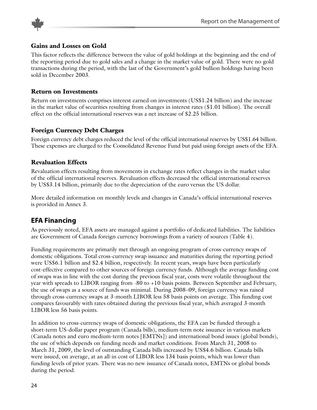<span id="page-23-0"></span>

#### **Gains and Losses on Gold**

This factor reflects the difference between the value of gold holdings at the beginning and the end of the reporting period due to gold sales and a change in the market value of gold. There were no gold transactions during the period, with the last of the Government's gold bullion holdings having been sold in December 2003.

#### **Return on Investments**

Return on investments comprises interest earned on investments (US\$1.24 billion) and the increase in the market value of securities resulting from changes in interest rates (\$1.01 billion). The overall effect on the official international reserves was a net increase of \$2.25 billion.

#### **Foreign Currency Debt Charges**

Foreign currency debt charges reduced the level of the official international reserves by US\$1.64 billion. These expenses are charged to the Consolidated Revenue Fund but paid using foreign assets of the EFA.

#### **Revaluation Effects**

Revaluation effects resulting from movements in exchange rates reflect changes in the market value of the official international reserves. Revaluation effects decreased the official international reserves by US\$3.14 billion, primarily due to the depreciation of the euro versus the US dollar.

More detailed information on monthly levels and changes in Canada's official international reserves is provided in Annex 3.

## **EFA Financing**

As previously noted, EFA assets are managed against a portfolio of dedicated liabilities. The liabilities are Government of Canada foreign currency borrowings from a variety of sources (Table 4).

Funding requirements are primarily met through an ongoing program of cross-currency swaps of domestic obligations. Total cross-currency swap issuance and maturities during the reporting period were US\$6.1 billion and \$2.4 billion, respectively. In recent years, swaps have been particularly cost-effective compared to other sources of foreign currency funds. Although the average funding cost of swaps was in line with the cost during the previous fiscal year, costs were volatile throughout the year with spreads to LIBOR ranging from -80 to +10 basis points. Between September and February, the use of swaps as a source of funds was minimal. During 2008–09, foreign currency was raised through cross-currency swaps at 3-month LIBOR less 58 basis points on average. This funding cost compares favourably with rates obtained during the previous fiscal year, which averaged 3-month LIBOR less 56 basis points.

In addition to cross-currency swaps of domestic obligations, the EFA can be funded through a short-term US-dollar paper program (Canada bills), medium-term note issuance in various markets (Canada notes and euro medium-term notes [EMTNs]) and international bond issues (global bonds), the use of which depends on funding needs and market conditions. From March 31, 2008 to March 31, 2009, the level of outstanding Canada bills increased by US\$4.6 billion. Canada bills were issued, on average, at an all-in cost of LIBOR less 134 basis points, which was lower than funding levels of prior years. There was no new issuance of Canada notes, EMTNs or global bonds during the period.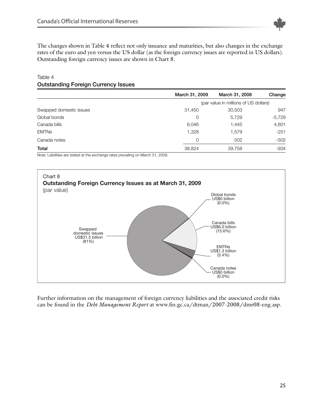

The changes shown in Table 4 reflect not only issuance and maturities, but also changes in the exchange rates of the euro and yen versus the US dollar (as the foreign currency issues are reported in US dollars). Outstanding foreign currency issues are shown in Chart 8.

|                         | March 31, 2009                        | March 31, 2008 | Change   |  |  |
|-------------------------|---------------------------------------|----------------|----------|--|--|
|                         | (par value in millions of US dollars) |                |          |  |  |
| Swapped domestic issues | 31,450                                | 30,503         | 947      |  |  |
| Global bonds            | 0                                     | 5,729          | $-5,729$ |  |  |
| Canada bills            | 6,046                                 | 1,445          | 4,601    |  |  |
| <b>EMTNs</b>            | 1,328                                 | 1,579          | $-251$   |  |  |
| Canada notes            | 0                                     | 502            | $-502$   |  |  |
| Total                   | 38,824                                | 39,758         | $-934$   |  |  |

#### Table 4 **Outstanding Foreign Currency Issues**

Note: Liabilities are stated at the exchange rates prevailing on March 31, 2009.



Further information on the management of foreign currency liabilities and the associated credit risks can be found in the *Debt Management Report* at www.fin.gc.ca/dtman/2007-2008/dmr08-eng.asp.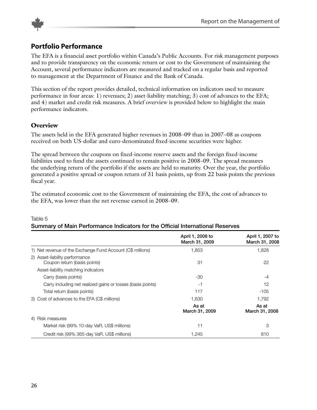<span id="page-25-0"></span>

## **Portfolio Performance**

The EFA is a financial asset portfolio within Canada's Public Accounts. For risk management purposes and to provide transparency on the economic return or cost to the Government of maintaining the Account, several performance indicators are measured and tracked on a regular basis and reported to management at the Department of Finance and the Bank of Canada.

This section of the report provides detailed, technical information on indicators used to measure performance in four areas: 1) revenues; 2) asset-liability matching; 3) cost of advances to the EFA; and 4) market and credit risk measures. A brief overview is provided below to highlight the main performance indicators.

#### **Overview**

The assets held in the EFA generated higher revenues in 2008–09 than in 2007–08 as coupons received on both US-dollar and euro-denominated fixed-income securities were higher.

The spread between the coupons on fixed-income reserve assets and the foreign fixed-income liabilities used to fund the assets continued to remain positive in 2008–09. The spread measures the underlying return of the portfolio if the assets are held to maturity. Over the year, the portfolio generated a positive spread or coupon return of 31 basis points, up from 22 basis points the previous fiscal year.

The estimated economic cost to the Government of maintaining the EFA, the cost of advances to the EFA, was lower than the net revenue earned in 2008–09.

|                                                                | April 1, 2008 to<br>March 31, 2009 | April 1, 2007 to<br>March 31, 2008 |
|----------------------------------------------------------------|------------------------------------|------------------------------------|
| 1) Net revenue of the Exchange Fund Account (C\$ millions)     | 1,853                              | 1,828                              |
| 2) Asset-liability performance<br>Coupon return (basis points) | 31                                 | 22                                 |
| Asset-liability matching indicators                            |                                    |                                    |
| Carry (basis points)                                           | -30                                | -4                                 |
| Carry including net realized gains or losses (basis points)    | -1                                 | 12                                 |
| Total return (basis points)                                    | 117                                | $-105$                             |
| 3) Cost of advances to the EFA (C\$ millions)                  | 1.630                              | 1,792                              |
|                                                                | As at<br>March 31, 2009            | As at<br>March 31, 2008            |
| 4) Risk measures                                               |                                    |                                    |
| Market risk (99% 10-day VaR, US\$ millions)                    | 11                                 | 3                                  |
| Credit risk (99% 365-day VaR, US\$ millions)                   | 1,245                              | 810                                |

#### Table 5 **Summary of Main Performance Indicators for the OfGcial International Reserves**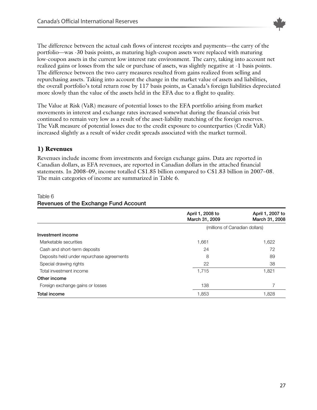

The difference between the actual cash flows of interest receipts and payments—the carry of the portfolio—was -30 basis points, as maturing high-coupon assets were replaced with maturing low-coupon assets in the current low interest rate environment. The carry, taking into account net realized gains or losses from the sale or purchase of assets, was slightly negative at -1 basis points. The difference between the two carry measures resulted from gains realized from selling and repurchasing assets. Taking into account the change in the market value of assets and liabilities, the overall portfolio's total return rose by 117 basis points, as Canada's foreign liabilities depreciated more slowly than the value of the assets held in the EFA due to a flight to quality.

The Value at Risk (VaR) measure of potential losses to the EFA portfolio arising from market movements in interest and exchange rates increased somewhat during the financial crisis but continued to remain very low as a result of the asset-liability matching of the foreign reserves. The VaR measure of potential losses due to the credit exposure to counterparties (Credit VaR) increased slightly as a result of wider credit spreads associated with the market turmoil.

#### **1) Revenues**

Revenues include income from investments and foreign exchange gains. Data are reported in Canadian dollars, as EFA revenues, are reported in Canadian dollars in the attached financial statements. In 2008–09, income totalled C\$1.85 billion compared to C\$1.83 billion in 2007–08. The main categories of income are summarized in Table 6.

|                                           | April 1, 2008 to<br>March 31, 2009 | April 1, 2007 to<br>March 31, 2008 |
|-------------------------------------------|------------------------------------|------------------------------------|
|                                           | (millions of Canadian dollars)     |                                    |
| Investment income                         |                                    |                                    |
| Marketable securities                     | 1,661                              | 1,622                              |
| Cash and short-term deposits              | 24                                 | 72                                 |
| Deposits held under repurchase agreements | 8                                  | 89                                 |
| Special drawing rights                    | 22                                 | 38                                 |
| Total investment income                   | 1,715                              | 1,821                              |
| Other income                              |                                    |                                    |
| Foreign exchange gains or losses          | 138                                |                                    |
| <b>Total income</b>                       | 1,853                              | 1.828                              |

#### Table 6

### **Revenues of the Exchange Fund Account**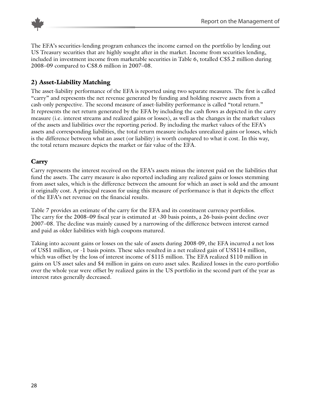

The EFA's securities-lending program enhances the income earned on the portfolio by lending out US Treasury securities that are highly sought after in the market. Income from securities lending, included in investment income from marketable securities in Table 6, totalled C\$5.2 million during 2008–09 compared to C\$8.6 million in 2007–08.

## **2) Asset-Liability Matching**

The asset-liability performance of the EFA is reported using two separate measures. The first is called "carry" and represents the net revenue generated by funding and holding reserve assets from a cash-only perspective. The second measure of asset-liability performance is called "total return." It represents the net return generated by the EFA by including the cash flows as depicted in the carry measure (i.e. interest streams and realized gains or losses), as well as the changes in the market values of the assets and liabilities over the reporting period. By including the market values of the EFA's assets and corresponding liabilities, the total return measure includes unrealized gains or losses, which is the difference between what an asset (or liability) is worth compared to what it cost. In this way, the total return measure depicts the market or fair value of the EFA.

#### **Carry**

Carry represents the interest received on the EFA's assets minus the interest paid on the liabilities that fund the assets. The carry measure is also reported including any realized gains or losses stemming from asset sales, which is the difference between the amount for which an asset is sold and the amount it originally cost. A principal reason for using this measure of performance is that it depicts the effect of the EFA's net revenue on the financial results.

Table 7 provides an estimate of the carry for the EFA and its constituent currency portfolios. The carry for the 2008–09 fiscal year is estimated at -30 basis points, a 26-basis-point decline over 2007–08. The decline was mainly caused by a narrowing of the difference between interest earned and paid as older liabilities with high coupons matured.

Taking into account gains or losses on the sale of assets during 2008-09, the EFA incurred a net loss of US\$1 million, or -1 basis points. These sales resulted in a net realized gain of US\$114 million, which was offset by the loss of interest income of \$115 million. The EFA realized \$110 million in gains on US asset sales and \$4 million in gains on euro asset sales. Realized losses in the euro portfolio over the whole year were offset by realized gains in the US portfolio in the second part of the year as interest rates generally decreased.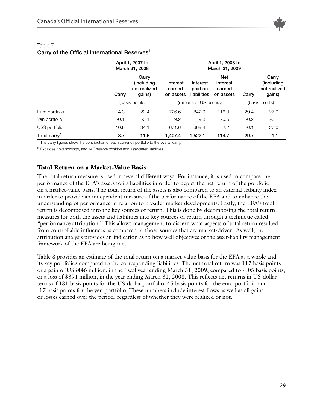

|                          |         | April 1, 2007 to<br>March 31, 2008                    | April 1, 2008 to<br>March 31, 2009 |                                    |                                               |         |                                                       |
|--------------------------|---------|-------------------------------------------------------|------------------------------------|------------------------------------|-----------------------------------------------|---------|-------------------------------------------------------|
|                          | Carry   | Carry<br><i>(including)</i><br>net realized<br>qains) | Interest<br>earned<br>on assets    | Interest<br>paid on<br>liabilities | <b>Net</b><br>interest<br>earned<br>on assets | Carry   | Carry<br><i>(including)</i><br>net realized<br>gains) |
|                          |         | (basis points)<br>(millions of US dollars)            |                                    | (basis points)                     |                                               |         |                                                       |
| Euro portfolio           | $-14.3$ | $-22.4$                                               | 726.6                              | 842.9                              | $-116.3$                                      | $-29.4$ | $-27.9$                                               |
| Yen portfolio            | $-0.1$  | $-0.1$                                                | 9.2                                | 9.8                                | $-0.6$                                        | $-0.2$  | $-0.2$                                                |
| US\$ portfolio           | 10.6    | 34.1                                                  | 671.6                              | 669.4                              | 2.2                                           | $-0.1$  | 27.0                                                  |
| Total carry <sup>2</sup> | $-3.7$  | 11.6                                                  | 1.407.4                            | 1.522.1                            | $-114.7$                                      | $-29.7$ | $-1.1$                                                |

#### Table 7 **Carry** of the Official International Reserves<sup>1</sup>

<sup>1</sup> The carry figures show the contribution of each currency portfolio to the overall carry.

<sup>2</sup> Excludes gold holdings, and IMF reserve position and associated liabilities.

#### **Total Return on a Market-Value Basis**

The total return measure is used in several different ways. For instance, it is used to compare the performance of the EFA's assets to its liabilities in order to depict the net return of the portfolio on a market-value basis. The total return of the assets is also compared to an external liability index in order to provide an independent measure of the performance of the EFA and to enhance the understanding of performance in relation to broader market developments. Lastly, the EFA's total return is decomposed into the key sources of return. This is done by decomposing the total return measures for both the assets and liabilities into key sources of return through a technique called "performance attribution." This allows management to discern what aspects of total return resulted from controllable influences as compared to those sources that are market-driven. As well, the attribution analysis provides an indication as to how well objectives of the asset-liability management framework of the EFA are being met.

Table 8 provides an estimate of the total return on a market-value basis for the EFA as a whole and its key portfolios compared to the corresponding liabilities. The net total return was 117 basis points, or a gain of US\$446 million, in the fiscal year ending March 31, 2009, compared to -105 basis points, or a loss of \$394 million, in the year ending March 31, 2008. This reflects net returns in US-dollar terms of 181 basis points for the US-dollar portfolio, 45 basis points for the euro portfolio and -17 basis points for the yen portfolio. These numbers include interest flows as well as all gains or losses earned over the period, regardless of whether they were realized or not.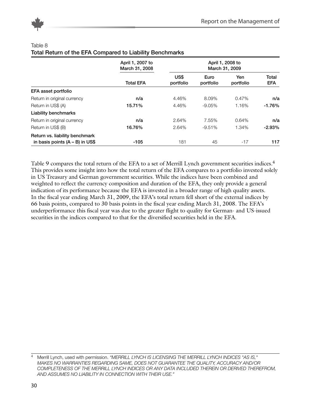

#### Table 8

#### **Total Return of the EFA Compared to Liability Benchmarks**

|                                   | April 1, 2007 to<br>March 31, 2008 |                   |                   |                  |                     |
|-----------------------------------|------------------------------------|-------------------|-------------------|------------------|---------------------|
|                                   | <b>Total EFA</b>                   | US\$<br>portfolio | Euro<br>portfolio | Yen<br>portfolio | Total<br><b>EFA</b> |
| EFA asset portfolio               |                                    |                   |                   |                  |                     |
| Return in original currency       | n/a                                | 4.46%             | 8.09%             | 0.47%            | n/a                 |
| Return in US\$ (A)                | 15.71%                             | 4.46%             | $-9.05\%$         | 1.16%            | $-1.76%$            |
| <b>Liability benchmarks</b>       |                                    |                   |                   |                  |                     |
| Return in original currency       | n/a                                | 2.64%             | 7.55%             | 0.64%            | n/a                 |
| Return in US\$ (B)                | 16.76%                             | 2.64%             | $-9.51%$          | 1.34%            | $-2.93%$            |
| Return vs. liability benchmark    |                                    |                   |                   |                  |                     |
| in basis points $(A - B)$ in US\$ | $-105$                             | 181               | 45                | $-17$            | 117                 |

Table 9 compares the total return of the EFA to a set of Merrill Lynch government securities indices.<sup>4</sup> This provides some insight into how the total return of the EFA compares to a portfolio invested solely in US Treasury and German government securities. While the indices have been combined and weighted to reflect the currency composition and duration of the EFA, they only provide a general indication of its performance because the EFA is invested in a broader range of high quality assets. In the fiscal year ending March 31, 2009, the EFA's total return fell short of the external indices by 66 basis points, compared to 30 basis points in the fiscal year ending March 31, 2008. The EFA's underperformance this fiscal year was due to the greater flight to quality for German- and US-issued securities in the indices compared to that for the diversified securities held in the EFA.

<sup>4</sup> Merrill Lynch, used with permission. *"MERRILL LYNCH IS LICENSING THE MERRILL LYNCH INDICES "AS IS," MAKES NO WARRANTIES REGARDING SAME, DOES NOT GUARANTEE THE QUALITY, ACCURACY AND/OR COMPLETENESS OF THE MERRILL LYNCH INDICES OR ANY DATA INCLUDED THEREIN OR DERIVED THEREFROM, AND ASSUMES NO LIABILITY IN CONNECTION WITH THEIR USE."*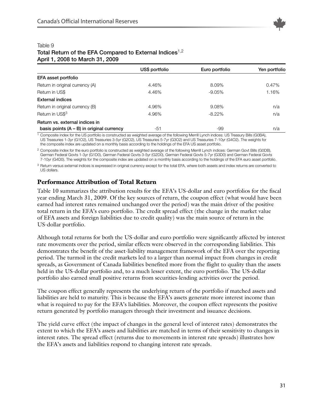

| $A$ $D$ $I$ $I$ , $I$ , $2000$ to ividicity $I$ , $2003$ |                |                |               |  |  |  |
|----------------------------------------------------------|----------------|----------------|---------------|--|--|--|
|                                                          | US\$ portfolio | Euro portfolio | Yen portfolio |  |  |  |
| EFA asset portfolio                                      |                |                |               |  |  |  |
| Return in original currency (A)                          | 4.46%          | 8.09%          | 0.47%         |  |  |  |
| Return in US\$                                           | 4.46%          | $-9.05%$       | 1.16%         |  |  |  |
| <b>External indices</b>                                  |                |                |               |  |  |  |
| Return in original currency (B)                          | 4.96%          | 9.08%          | n/a           |  |  |  |
| Return in US\$3                                          | 4.96%          | $-8.22%$       | n/a           |  |  |  |
| Return vs. external indices in                           |                |                |               |  |  |  |
| basis points $(A - B)$ in original currency              | -51            | -99            | n/a           |  |  |  |

#### Table 9 **Total Return of the EFA Compared to External Indices**1,2 **April 1, 2008 to March 31, 2009**

<sup>1</sup> Composite index for the US portfolio is constructed as weighted average of the following Merrill Lynch indices: US Treasury Bills (G0BA), US Treasuries 1-3yr (G1O2), US Treasuries 3-5yr (G2O2), US Treasuries 5-7yr (G3O2) and US Treasuries 7-10yr (G4O2). The weights for the composite index are updated on a monthly basis according to the holdings of the EFA US asset portfolio.

<sup>2</sup> Composite index for the euro portfolio is constructed as weighted average of the following Merrill Lynch indices: German Govt Bills (G0DB), German Federal Govts 1-3yr (G1D0), German Federal Govts 3-5yr (G2D0), German Federal Govts 5-7yr (G3D0) and German Federal Govts 7-10yr (G4D0). The weights for the composite index are updated on a monthly basis according to the holdings of the EFA euro asset portfolio.

<sup>3</sup> Return versus external indices is expressed in original currency except for the total EFA, where both assets and index returns are converted to US dollars.

#### **Performance Attribution of Total Return**

Table 10 summarizes the attribution results for the EFA's US-dollar and euro portfolios for the fiscal year ending March 31, 2009. Of the key sources of return, the coupon effect (what would have been earned had interest rates remained unchanged over the period) was the main driver of the positive total return in the EFA's euro portfolio. The credit spread effect (the change in the market value of EFA assets and foreign liabilities due to credit quality) was the main source of return in the US-dollar portfolio.

Although total returns for both the US-dollar and euro portfolio were significantly affected by interest rate movements over the period, similar effects were observed in the corresponding liabilities. This demonstrates the benefit of the asset-liability management framework of the EFA over the reporting period. The turmoil in the credit markets led to a larger than normal impact from changes in credit spreads, as Government of Canada liabilities benefited more from the flight to quality than the assets held in the US-dollar portfolio and, to a much lesser extent, the euro portfolio. The US-dollar portfolio also earned small positive returns from securities-lending activities over the period.

The coupon effect generally represents the underlying return of the portfolio if matched assets and liabilities are held to maturity. This is because the EFA's assets generate more interest income than what is required to pay for the EFA's liabilities. Moreover, the coupon effect represents the positive return generated by portfolio managers through their investment and issuance decisions.

The yield curve effect (the impact of changes in the general level of interest rates) demonstrates the extent to which the EFA's assets and liabilities are matched in terms of their sensitivity to changes in interest rates. The spread effect (returns due to movements in interest rate spreads) illustrates how the EFA's assets and liabilities respond to changing interest rate spreads.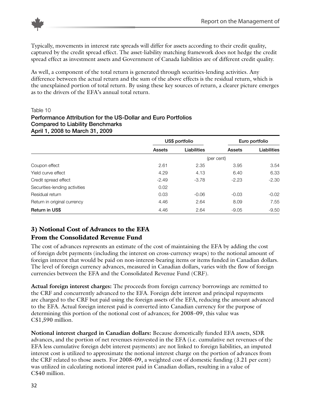

Typically, movements in interest rate spreads will differ for assets according to their credit quality, captured by the credit spread effect. The asset-liability matching framework does not hedge the credit spread effect as investment assets and Government of Canada liabilities are of different credit quality.

As well, a component of the total return is generated through securities-lending activities. Any difference between the actual return and the sum of the above effects is the residual return, which is the unexplained portion of total return. By using these key sources of return, a clearer picture emerges as to the drivers of the EFA's annual total return.

#### Table 10

#### **Performance Attribution for the US-Dollar and Euro Portfolios Compared to Liability Benchmarks April 1, 2008 to March 31, 2009**

|                               |         | US\$ portfolio |            | Euro portfolio |
|-------------------------------|---------|----------------|------------|----------------|
|                               | Assets  | Liabilities    | Assets     | Liabilities    |
|                               |         |                | (per cent) |                |
| Coupon effect                 | 2.61    | 2.35           | 3.95       | 3.54           |
| Yield curve effect            | 4.29    | 4.13           | 6.40       | 6.33           |
| Credit spread effect          | $-2.49$ | $-3.78$        | $-2.23$    | $-2.30$        |
| Securities-lending activities | 0.02    |                |            |                |
| Residual return               | 0.03    | $-0.06$        | $-0.03$    | $-0.02$        |
| Return in original currency   | 4.46    | 2.64           | 8.09       | 7.55           |
| <b>Return in US\$</b>         | 4.46    | 2.64           | $-9.05$    | $-9.50$        |

## **3) Notional Cost of Advances to the EFA From the Consolidated Revenue Fund**

The cost of advances represents an estimate of the cost of maintaining the EFA by adding the cost of foreign debt payments (including the interest on cross-currency swaps) to the notional amount of foreign interest that would be paid on non-interest-bearing items or items funded in Canadian dollars. The level of foreign currency advances, measured in Canadian dollars, varies with the flow of foreign currencies between the EFA and the Consolidated Revenue Fund (CRF).

**Actual foreign interest charges:** The proceeds from foreign currency borrowings are remitted to the CRF and concurrently advanced to the EFA. Foreign debt interest and principal repayments are charged to the CRF but paid using the foreign assets of the EFA, reducing the amount advanced to the EFA. Actual foreign interest paid is converted into Canadian currency for the purpose of determining this portion of the notional cost of advances; for 2008–09, this value was C\$1,590 million.

**Notional interest charged in Canadian dollars:** Because domestically funded EFA assets, SDR advances, and the portion of net revenues reinvested in the EFA (i.e. cumulative net revenues of the EFA less cumulative foreign debt interest payments) are not linked to foreign liabilities, an imputed interest cost is utilized to approximate the notional interest charge on the portion of advances from the CRF related to those assets. For 2008–09, a weighted cost of domestic funding (3.21 per cent) was utilized in calculating notional interest paid in Canadian dollars, resulting in a value of C\$40 million.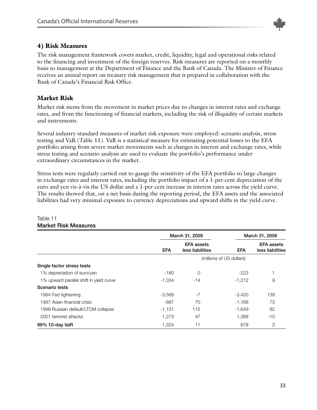

#### **4) Risk Measures**

The risk management framework covers market, credit, liquidity, legal and operational risks related to the financing and investment of the foreign reserves. Risk measures are reported on a monthly basis to management at the Department of Finance and the Bank of Canada. The Minister of Finance receives an annual report on treasury risk management that is prepared in collaboration with the Bank of Canada's Financial Risk Office.

## **Market Risk**

Market risk stems from the movement in market prices due to changes in interest rates and exchange rates, and from the functioning of financial markets, including the risk of illiquidity of certain markets and instruments.

Several industry-standard measures of market risk exposure were employed: scenario analysis, stress testing and VaR (Table 11). VaR is a statistical measure for estimating potential losses to the EFA portfolio arising from severe market movements such as changes in interest and exchange rates, while stress testing and scenario analysis are used to evaluate the portfolio's performance under extraordinary circumstances in the market.

Stress tests were regularly carried out to gauge the sensitivity of the EFA portfolio to large changes in exchange rates and interest rates, including the portfolio impact of a 1-per-cent depreciation of the euro and yen vis-à-vis the US dollar and a 1-per-cent increase in interest rates across the yield curve. The results showed that, on a net basis during the reporting period, the EFA assets and the associated liabilities had very minimal exposure to currency depreciations and upward shifts in the yield curve.

|                                         | March 31, 2009 |                                       |                          | March 31, 2008                        |  |
|-----------------------------------------|----------------|---------------------------------------|--------------------------|---------------------------------------|--|
|                                         | <b>EFA</b>     | <b>EFA</b> assets<br>less liabilities | <b>EFA</b>               | <b>EFA</b> assets<br>less liabilities |  |
|                                         |                |                                       | (millions of US dollars) |                                       |  |
| Single factor stress tests              |                |                                       |                          |                                       |  |
| 1% depreciation of euro/yen             | -180           | 0                                     | $-223$                   |                                       |  |
| 1% upward parallel shift in yield curve | $-1,334$       | -14                                   | $-1,212$                 | 9                                     |  |
| Scenario tests                          |                |                                       |                          |                                       |  |
| 1994 Fed tightening                     | $-3,569$       | $-7$                                  | $-3.420$                 | 139                                   |  |
| 1997 Asian financial crisis             | -887           | 70                                    | $-1,168$                 | 73                                    |  |
| 1998 Russian default/LTCM collapse      | $-1,131$       | 115                                   | -1,649                   | 82                                    |  |
| 2001 terrorist attacks                  | 1,273          | 47                                    | 1,368                    | -10                                   |  |
| 99% 10-day VaR                          | 1,324          | 11                                    | 678                      | 3                                     |  |

#### Table 11 **Market Risk Measures**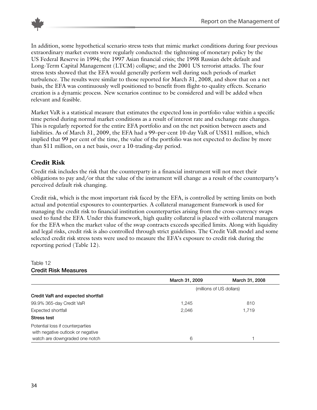

In addition, some hypothetical scenario stress tests that mimic market conditions during four previous extraordinary market events were regularly conducted: the tightening of monetary policy by the US Federal Reserve in 1994; the 1997 Asian financial crisis; the 1998 Russian debt default and Long-Term Capital Management (LTCM) collapse; and the 2001 US terrorist attacks. The four stress tests showed that the EFA would generally perform well during such periods of market turbulence. The results were similar to those reported for March 31, 2008, and show that on a net basis, the EFA was continuously well positioned to benefit from flight-to-quality effects. Scenario creation is a dynamic process. New scenarios continue to be considered and will be added when relevant and feasible.

Market VaR is a statistical measure that estimates the expected loss in portfolio value within a specific time period during normal market conditions as a result of interest rate and exchange rate changes. This is regularly reported for the entire EFA portfolio and on the net position between assets and liabilities. As of March 31, 2009, the EFA had a 99–per-cent 10-day VaR of US\$11 million, which implied that 99 per cent of the time, the value of the portfolio was not expected to decline by more than \$11 million, on a net basis, over a 10-trading-day period.

## **Credit Risk**

Credit risk includes the risk that the counterparty in a financial instrument will not meet their obligations to pay and/or that the value of the instrument will change as a result of the counterparty's perceived default risk changing.

Credit risk, which is the most important risk faced by the EFA, is controlled by setting limits on both actual and potential exposures to counterparties. A collateral management framework is used for managing the credit risk to financial institution counterparties arising from the cross-currency swaps used to fund the EFA. Under this framework, high quality collateral is placed with collateral managers for the EFA when the market value of the swap contracts exceeds specified limits. Along with liquidity and legal risks, credit risk is also controlled through strict guidelines. The Credit VaR model and some selected credit risk stress tests were used to measure the EFA's exposure to credit risk during the reporting period (Table 12).

#### Table 12 **Credit Risk Measures**

|                                                                       | March 31, 2009 | March 31, 2008           |
|-----------------------------------------------------------------------|----------------|--------------------------|
|                                                                       |                | (millions of US dollars) |
| Credit VaR and expected shortfall                                     |                |                          |
| 99.9% 365-day Credit VaR                                              | 1,245          | 810                      |
| Expected shortfall                                                    | 2,046          | 1,719                    |
| Stress test                                                           |                |                          |
| Potential loss if counterparties<br>with negative outlook or negative |                |                          |
| watch are downgraded one notch                                        | 6              |                          |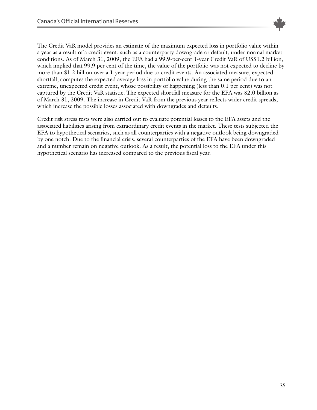

The Credit VaR model provides an estimate of the maximum expected loss in portfolio value within a year as a result of a credit event, such as a counterparty downgrade or default, under normal market conditions. As of March 31, 2009, the EFA had a 99.9-per-cent 1-year Credit VaR of US\$1.2 billion, which implied that 99.9 per cent of the time, the value of the portfolio was not expected to decline by more than \$1.2 billion over a 1-year period due to credit events. An associated measure, expected shortfall, computes the expected average loss in portfolio value during the same period due to an extreme, unexpected credit event, whose possibility of happening (less than 0.1 per cent) was not captured by the Credit VaR statistic. The expected shortfall measure for the EFA was \$2.0 billion as of March 31, 2009. The increase in Credit VaR from the previous year reflects wider credit spreads, which increase the possible losses associated with downgrades and defaults.

Credit risk stress tests were also carried out to evaluate potential losses to the EFA assets and the associated liabilities arising from extraordinary credit events in the market. These tests subjected the EFA to hypothetical scenarios, such as all counterparties with a negative outlook being downgraded by one notch. Due to the financial crisis, several counterparties of the EFA have been downgraded and a number remain on negative outlook. As a result, the potential loss to the EFA under this hypothetical scenario has increased compared to the previous fiscal year.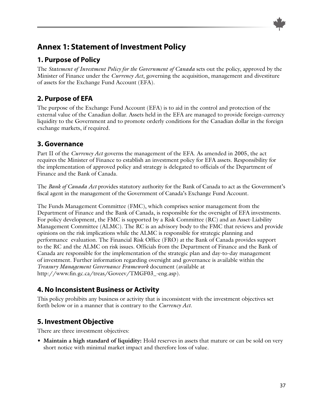# <span id="page-36-0"></span>**Annex 1: Statement of Investment Policy**

# **1. Purpose of Policy**

The *Statement of Investment Policy for the Government of Canada* sets out the policy, approved by the Minister of Finance under the *Currency Act*, governing the acquisition, management and divestiture of assets for the Exchange Fund Account (EFA).

# **2. Purpose of EFA**

The purpose of the Exchange Fund Account (EFA) is to aid in the control and protection of the external value of the Canadian dollar. Assets held in the EFA are managed to provide foreign-currency liquidity to the Government and to promote orderly conditions for the Canadian dollar in the foreign exchange markets, if required.

## **3. Governance**

Part II of the *Currency Act* governs the management of the EFA. As amended in 2005, the act requires the Minister of Finance to establish an investment policy for EFA assets. Responsibility for the implementation of approved policy and strategy is delegated to officials of the Department of Finance and the Bank of Canada.

The *Bank of Canada Act* provides statutory authority for the Bank of Canada to act as the Government's fiscal agent in the management of the Government of Canada's Exchange Fund Account.

The Funds Management Committee (FMC), which comprises senior management from the Department of Finance and the Bank of Canada, is responsible for the oversight of EFA investments. For policy development, the FMC is supported by a Risk Committee (RC) and an Asset-Liability Management Committee (ALMC). The RC is an advisory body to the FMC that reviews and provide opinions on the risk implications while the ALMC is responsible for strategic planning and performance evaluation. The Financial Risk Office (FRO) at the Bank of Canada provides support to the RC and the ALMC on risk issues. Officials from the Department of Finance and the Bank of Canada are responsible for the implementation of the strategic plan and day-to-day management of investment. Further information regarding oversight and governance is available within the *Treasury Management Governance Framework* document (available at http://www.fin.gc.ca/treas/Goveev/TMGF03\_-eng.asp).

# **4. No Inconsistent Business or Activity**

This policy prohibits any business or activity that is inconsistent with the investment objectives set forth below or in a manner that is contrary to the *Currency Act*.

# **5. Investment Objective**

There are three investment objectives:

• **Maintain a high standard of liquidity:** Hold reserves in assets that mature or can be sold on very short notice with minimal market impact and therefore loss of value.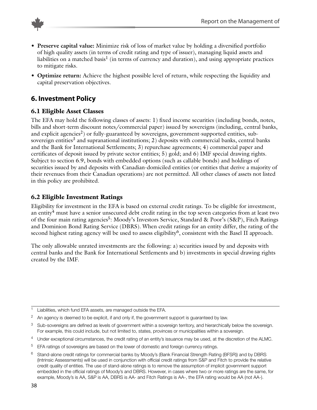

- **Preserve capital value:** Minimize risk of loss of market value by holding a diversified portfolio of high quality assets (in terms of credit rating and type of issuer), managing liquid assets and liabilities on a matched basis<sup>1</sup> (in terms of currency and duration), and using appropriate practices to mitigate risks.
- **Optimize return:** Achieve the highest possible level of return, while respecting the liquidity and capital preservation objectives.

## **6. Investment Policy**

#### **6.1 Eligible Asset Classes**

The EFA may hold the following classes of assets: 1) fixed income securities (including bonds, notes, bills and short-term discount notes/commercial paper) issued by sovereigns (including, central banks, and explicit agencies<sup>2</sup>) or fully-guaranteed by sovereigns, government-supported entities, subsovereign entities<sup>3</sup> and supranational institutions; 2) deposits with commercial banks, central banks and the Bank for International Settlements; 3) repurchase agreements; 4) commercial paper and certificates of deposit issued by private sector entities; 5) gold; and 6) IMF special drawing rights. Subject to section 6.9, bonds with embedded options (such as callable bonds) and holdings of securities issued by and deposits with Canadian-domiciled entities (or entities that derive a majority of their revenues from their Canadian operations) are not permitted. All other classes of assets not listed in this policy are prohibited.

## **6.2 Eligible Investment Ratings**

Eligibility for investment in the EFA is based on external credit ratings. To be eligible for investment, an entity<sup>4</sup> must have a senior unsecured debt credit rating in the top seven categories from at least two of the four main rating agencies<sup>5</sup>: Moody's Investors Service, Standard & Poor's (S&P), Fitch Ratings and Dominion Bond Rating Service (DBRS). When credit ratings for an entity differ, the rating of the second highest rating agency will be used to assess eligibility<sup>6</sup>, consistent with the Basel II approach.

The only allowable unrated investments are the following: a) securities issued by and deposits with central banks and the Bank for International Settlements and b) investments in special drawing rights created by the IMF.

- <sup>3</sup> Sub-sovereigns are defined as levels of government within a sovereign territory, and hierarchically below the sovereign. For example, this could include, but not limited to, states, provinces or municipalities within a sovereign.
- <sup>4</sup> Under exceptional circumstances, the credit rating of an entity's issuance may be used, at the discretion of the ALMC.
- <sup>5</sup> EFA ratings of sovereigns are based on the lower of domestic and foreign currency ratings.

<sup>&</sup>lt;sup>1</sup> Liabilities, which fund EFA assets, are managed outside the EFA.

 $2$  An agency is deemed to be explicit, if and only if, the government support is guaranteed by law.

 $6$  Stand-alone credit ratings for commercial banks by Moody's (Bank Financial Strength Rating (BFSR)) and by DBRS (Intrinsic Assessments) will be used in conjunction with official credit ratings from S&P and Fitch to provide the relative credit quality of entities. The use of stand-alone ratings is to remove the assumption of implicit government support embedded in the official ratings of Moody's and DBRS. However, in cases where two or more ratings are the same, for example, Moody's is AA, S&P is AA, DBRS is AA- and Fitch Ratings is AA-, the EFA rating would be AA (not AA-).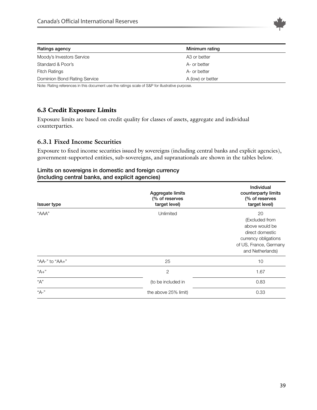

| Ratings agency               | Minimum rating    |  |
|------------------------------|-------------------|--|
| Moody's Investors Service    | A3 or better      |  |
| Standard & Poor's            | A- or better      |  |
| <b>Fitch Ratings</b>         | A- or better      |  |
| Dominion Bond Rating Service | A (low) or better |  |

Note: Rating references in this document use the ratings scale of S&P for illustrative purpose.

## **6.3 Credit Exposure Limits**

Exposure limits are based on credit quality for classes of assets, aggregate and individual counterparties.

#### **6.3.1 Fixed Income Securities**

Exposure to fixed income securities issued by sovereigns (including central banks and explicit agencies), government-supported entities, sub-sovereigns, and supranationals are shown in the tables below.

#### **Limits on sovereigns in domestic and foreign currency (including central banks, and explicit agencies)**

| <b>Issuer type</b> | Aggregate limits<br>(% of reserves<br>target level) | <b>Individual</b><br>counterparty limits<br>(% of reserves<br>target level)                                                     |
|--------------------|-----------------------------------------------------|---------------------------------------------------------------------------------------------------------------------------------|
| "AAA"              | Unlimited                                           | 20<br>(Excluded from<br>above would be<br>direct domestic<br>currency obligations<br>of US, France, Germany<br>and Netherlands) |
| "AA-" to "AA+"     | 25                                                  | 10                                                                                                                              |
| $"A+"$             | $\overline{2}$                                      | 1.67                                                                                                                            |
| "А"                | (to be included in                                  | 0.83                                                                                                                            |
| "А-"               | the above 25% limit)                                | 0.33                                                                                                                            |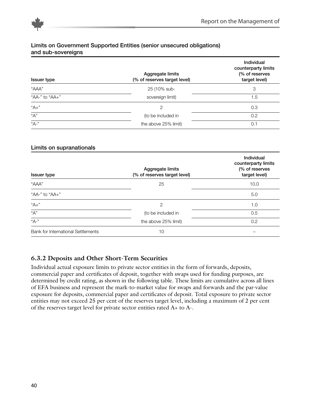

#### **Limits on Government Supported Entities (senior unsecured obligations) and sub-sovereigns**

| <b>Issuer type</b> | Aggregate limits<br>(% of reserves target level) | <b>Individual</b><br>counterparty limits<br>(% of reserves<br>target level) |
|--------------------|--------------------------------------------------|-----------------------------------------------------------------------------|
| "AAA"              | 25 (10% sub-                                     | 3                                                                           |
| "AA-" to "AA+"     | sovereign limit)                                 | 1.5                                                                         |
| $"A+"$             | 2                                                | 0.3                                                                         |
| "А"                | (to be included in                               | 0.2                                                                         |
| "А-"               | the above 25% limit)                             | 0.1                                                                         |

| Limits on supranationals           |                                                  |                                                                      |
|------------------------------------|--------------------------------------------------|----------------------------------------------------------------------|
| <b>Issuer type</b>                 | Aggregate limits<br>(% of reserves target level) | Individual<br>counterparty limits<br>(% of reserves<br>target level) |
| "AAA"                              | 25                                               | 10.0                                                                 |
| "AA-" to "AA+"                     |                                                  | 5.0                                                                  |
| $"A+"$                             | $\overline{2}$                                   | 1.0                                                                  |
| "А"                                | (to be included in                               | 0.5                                                                  |
| "А-"                               | the above 25% limit)                             | 0.2                                                                  |
| Bank for International Settlements | 10                                               |                                                                      |

## **6.3.2 Deposits and Other Short-Term Securities**

Individual actual exposure limits to private sector entities in the form of forwards, deposits, commercial paper and certificates of deposit, together with swaps used for funding purposes, are determined by credit rating, as shown in the following table. These limits are cumulative across all lines of EFA business and represent the mark-to-market value for swaps and forwards and the par-value exposure for deposits, commercial paper and certificates of deposit. Total exposure to private sector entities may not exceed 25 per cent of the reserves target level, including a maximum of 2 per cent of the reserves target level for private sector entities rated A+ to A-.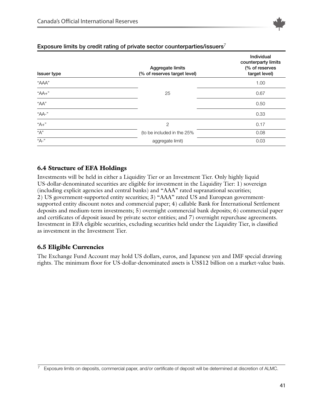

| <b>Issuer type</b> | Aggregate limits<br>(% of reserves target level) | Individual<br>counterparty limits<br>(% of reserves<br>target level) |
|--------------------|--------------------------------------------------|----------------------------------------------------------------------|
| "AAA"              |                                                  | 1.00                                                                 |
| $"AA+"$            | 25                                               | 0.67                                                                 |
| "AA"               |                                                  | 0.50                                                                 |
| $"AA-"$            |                                                  | 0.33                                                                 |
| "А+"               | $\overline{2}$                                   | 0.17                                                                 |
| "А"                | (to be included in the 25%                       | 0.08                                                                 |
| "А-"               | aggregate limit)                                 | 0.03                                                                 |

#### **Exposure limits by credit rating of private sector counterparties/issuers**<sup>7</sup>

## **6.4 Structure of EFA Holdings**

Investments will be held in either a Liquidity Tier or an Investment Tier. Only highly liquid US-dollar-denominated securities are eligible for investment in the Liquidity Tier: 1) sovereign (including explicit agencies and central banks) and "AAA" rated supranational securities; 2) US government-supported entity securities; 3) "AAA" rated US and European governmentsupported entity discount notes and commercial paper; 4) callable Bank for International Settlement deposits and medium-term investments; 5) overnight commercial bank deposits; 6) commercial paper and certificates of deposit issued by private sector entities; and 7) overnight repurchase agreements. Investment in EFA eligible securities, excluding securities held under the Liquidity Tier, is classified as investment in the Investment Tier.

#### **6.5 Eligible Currencies**

The Exchange Fund Account may hold US dollars, euros, and Japanese yen and IMF special drawing rights. The minimum floor for US-dollar-denominated assets is US\$12 billion on a market-value basis.

 $7$  Exposure limits on deposits, commercial paper, and/or certificate of deposit will be determined at discretion of ALMC.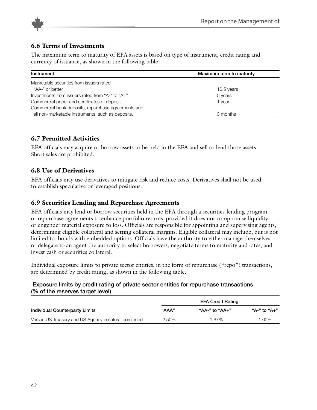

#### **6.6 Terms of Investments**

The maximum term to maturity of EFA assets is based on type of instrument, credit rating and currency of issuance, as shown in the following table.

| Instrument                                          | Maximum term to maturity |
|-----------------------------------------------------|--------------------------|
| Marketable securities from issuers rated            |                          |
| "AA-" or better                                     | 10.5 years               |
| Investments from issuers rated from "A-" to "A+"    | 5 years                  |
| Commercial paper and certificates of deposit        | 1 year                   |
| Commercial bank deposits, repurchase agreements and |                          |
| all non-marketable instruments, such as deposits.   | 3 months                 |

## **6.7 Permitted Activities**

EFA officials may acquire or borrow assets to be held in the EFA and sell or lend those assets. Short sales are prohibited.

#### **6.8 Use of Derivatives**

EFA officials may use derivatives to mitigate risk and reduce costs. Derivatives shall not be used to establish speculative or leveraged positions.

#### **6.9 Securities Lending and Repurchase Agreements**

EFA officials may lend or borrow securities held in the EFA through a securities-lending program or repurchase agreements to enhance portfolio returns, provided it does not compromise liquidity or engender material exposure to loss. Officials are responsible for appointing and supervising agents, determining eligible collateral and setting collateral margins. Eligible collateral may include, but is not limited to, bonds with embedded options. Officials have the authority to either manage themselves or delegate to an agent the authority to select borrowers, negotiate terms to maturity and rates, and invest cash or securities collateral.

Individual exposure limits to private sector entities, in the form of repurchase ("repo") transactions, are determined by credit rating, as shown in the following table.

#### **Exposure limits by credit rating of private sector entities for repurchase transactions (% of the reserves target level)**

|                                                      |       | <b>EFA Credit Rating</b> |              |
|------------------------------------------------------|-------|--------------------------|--------------|
| Individual Counterparty Limits                       | "AAA" | "AA-" to "AA+"           | "A-" to "A+" |
| Versus US Treasury and US Agency collateral combined | 2.50% | 1.67%                    | 1.00%        |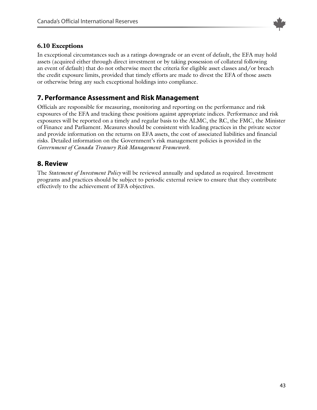

## **6.10 Exceptions**

In exceptional circumstances such as a ratings downgrade or an event of default, the EFA may hold assets (acquired either through direct investment or by taking possession of collateral following an event of default) that do not otherwise meet the criteria for eligible asset classes and/or breach the credit exposure limits, provided that timely efforts are made to divest the EFA of those assets or otherwise bring any such exceptional holdings into compliance.

## **7. Performance Assessment and Risk Management**

Officials are responsible for measuring, monitoring and reporting on the performance and risk exposures of the EFA and tracking these positions against appropriate indices. Performance and risk exposures will be reported on a timely and regular basis to the ALMC, the RC, the FMC, the Minister of Finance and Parliament. Measures should be consistent with leading practices in the private sector and provide information on the returns on EFA assets, the cost of associated liabilities and financial risks. Detailed information on the Government's risk management policies is provided in the *Government of Canada Treasury Risk Management Framework.*

## **8. Review**

The *Statement of Investment Policy* will be reviewed annually and updated as required. Investment programs and practices should be subject to periodic external review to ensure that they contribute effectively to the achievement of EFA objectives.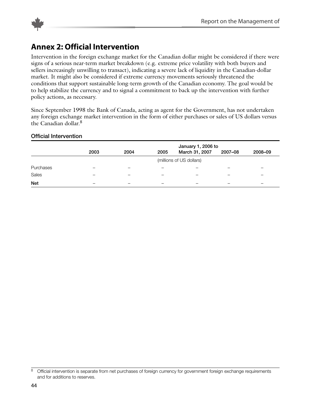

<span id="page-43-0"></span>

# **Annex 2: Official Intervention**

Intervention in the foreign exchange market for the Canadian dollar might be considered if there were signs of a serious near-term market breakdown (e.g. extreme price volatility with both buyers and sellers increasingly unwilling to transact), indicating a severe lack of liquidity in the Canadian-dollar market. It might also be considered if extreme currency movements seriously threatened the conditions that support sustainable long-term growth of the Canadian economy. The goal would be to help stabilize the currency and to signal a commitment to back up the intervention with further policy actions, as necessary.

Since September 1998 the Bank of Canada, acting as agent for the Government, has not undertaken any foreign exchange market intervention in the form of either purchases or sales of US dollars versus the Canadian dollar. 8

#### **Official Intervention**

|            |      |      |      | January 1, 2006 to       |                          |                          |  |
|------------|------|------|------|--------------------------|--------------------------|--------------------------|--|
|            | 2003 | 2004 | 2005 | March 31, 2007           | 2007-08                  | 2008-09                  |  |
|            |      |      |      | (millions of US dollars) |                          |                          |  |
| Purchases  |      |      |      |                          |                          |                          |  |
| Sales      |      |      |      |                          |                          |                          |  |
| <b>Net</b> |      |      |      | —                        | $\overline{\phantom{a}}$ | $\overline{\phantom{m}}$ |  |

<sup>&</sup>lt;sup>8</sup> Official intervention is separate from net purchases of foreign currency for government foreign exchange requirements and for additions to reserves.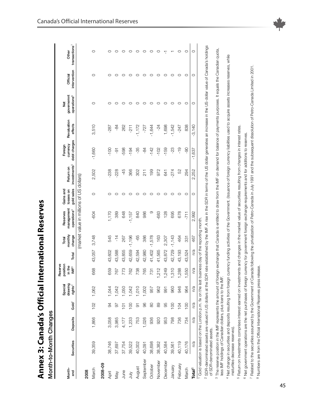| いいへいこ<br>.<br>I<br>ׇ֚֠֕       |
|-------------------------------|
| こうくうしょう                       |
| .<br>ت                        |
| .<br>י<br>Lanadar             |
| $\overline{\cdot}$<br>ר נימים |

| ı |
|---|
|   |
|   |
|   |
|   |
|   |
|   |
|   |
|   |
|   |
|   |

<span id="page-44-0"></span>

|                                                                                                                                                                                                                                |                                                                                                   |          |                    | Special<br>drawing  | Reserve<br>position        |        | Total             | Reserves                                 | Gains and               |                                       | Foreign                  |                        | ğ                                                                                                                                                                                                                              |                          | Other                     |
|--------------------------------------------------------------------------------------------------------------------------------------------------------------------------------------------------------------------------------|---------------------------------------------------------------------------------------------------|----------|--------------------|---------------------|----------------------------|--------|-------------------|------------------------------------------|-------------------------|---------------------------------------|--------------------------|------------------------|--------------------------------------------------------------------------------------------------------------------------------------------------------------------------------------------------------------------------------|--------------------------|---------------------------|
| Month-<br>end                                                                                                                                                                                                                  | Securities                                                                                        | Deposits | Gold <sup>1</sup>  | rights <sup>2</sup> | in the<br>$\mathsf{IMF}^3$ | Total  | monthly<br>change | management<br>operations <sup>4</sup>    | gold sales<br>losses on | investments <sup>5</sup><br>Return on | debt charges<br>currency | Revaluation<br>effects | governemnt<br>operations <sup>6</sup>                                                                                                                                                                                          | intervention<br>Official | transactions <sup>7</sup> |
|                                                                                                                                                                                                                                |                                                                                                   |          |                    |                     |                            |        |                   | (market value in millions of US dollars) |                         |                                       |                          |                        |                                                                                                                                                                                                                                |                          |                           |
| 2008                                                                                                                                                                                                                           |                                                                                                   |          |                    |                     |                            |        |                   |                                          |                         |                                       |                          |                        |                                                                                                                                                                                                                                |                          |                           |
| March                                                                                                                                                                                                                          | 39,359                                                                                            | 1,866    | 102                | 1,062               | 668                        | 43,057 | 3,748             | -604                                     | O                       | 2,502                                 | $-1,660$                 | 3,510                  | O                                                                                                                                                                                                                              | O                        | O                         |
| 2008-09                                                                                                                                                                                                                        |                                                                                                   |          |                    |                     |                            |        |                   |                                          |                         |                                       |                          |                        |                                                                                                                                                                                                                                |                          |                           |
| April                                                                                                                                                                                                                          | 38,746                                                                                            | 3,058    | 94                 | 1,044               | 659                        | 43,602 | 545               | 1,170                                    | O                       | 238                                   | $-100$                   | $-287$                 | c                                                                                                                                                                                                                              | ⊂                        | O                         |
| Vay                                                                                                                                                                                                                            | 37,697                                                                                            | 3,985    | 56                 | 1,042               | 767                        | 43,588 | $\frac{4}{1}$     | 389                                      | 0                       | $-228$                                | နှ                       | $-84$                  |                                                                                                                                                                                                                                |                          |                           |
| June                                                                                                                                                                                                                           | 37,754                                                                                            | 4,177    | $\overline{\circ}$ | 1,050               | 773                        | 43,855 | 267               | 648                                      |                         | $-45$                                 | 598                      | 262                    |                                                                                                                                                                                                                                |                          |                           |
| Š                                                                                                                                                                                                                              | 39,522                                                                                            | 1,233    | $\overline{0}$     | 1,042               | 762                        | 42,659 | $-1,196$          | $-1,157$                                 | 0                       | 366                                   | $-194$                   | $-211$                 |                                                                                                                                                                                                                                |                          | c                         |
| August                                                                                                                                                                                                                         | 40,002                                                                                            | 753      | 5                  | 1,010               | 738                        | 42,594 | -65               | 840                                      | 0                       | 302                                   | $-35$                    | $-1,172$               |                                                                                                                                                                                                                                |                          |                           |
| September                                                                                                                                                                                                                      | 40,091                                                                                            | 1,026    | 96                 | 1,002               | 765                        | 42,980 | 386               | 986                                      | O                       | 211                                   | $-84$                    | $-727$                 |                                                                                                                                                                                                                                |                          | c                         |
| October                                                                                                                                                                                                                        | 38,698                                                                                            | 936      | 80                 | 957                 | 731                        | 41,402 | $-1,578$          | တ                                        | O                       | 199                                   | $-142$                   | $-1,644$               |                                                                                                                                                                                                                                |                          | c                         |
| November                                                                                                                                                                                                                       | 38,382                                                                                            | 920      | 89                 | 962                 | 212                        | 41,565 | 163               | $-683$                                   | O                       | 972                                   | $-102$                   | $-24$                  |                                                                                                                                                                                                                                |                          |                           |
| December                                                                                                                                                                                                                       | 40,584                                                                                            | 953      | 95                 | 59                  | 249                        | 43,872 | 2,307             | 128                                      |                         | 641                                   | $-159$                   | 1,698                  |                                                                                                                                                                                                                                |                          |                           |
| January                                                                                                                                                                                                                        | 39,561                                                                                            | 798      | $\overline{0}$     | 960                 | 310                        | 42,729 | $-1,143$          | 695                                      | 0                       | $-274$                                | $-23$                    | $-1,542$               |                                                                                                                                                                                                                                |                          |                           |
| February                                                                                                                                                                                                                       | 40,119                                                                                            | 736      | 104                | 946                 | 288                        | 43,193 | 464               | 678                                      | O                       | 52                                    | $-19$                    | $-247$                 | ⊂                                                                                                                                                                                                                              |                          | c                         |
| March                                                                                                                                                                                                                          | 40,176                                                                                            | 734      | 100                | 964                 | 550                        | 43,524 | 331               | $-711$                                   | O                       | 294                                   | 90                       | 838                    | O                                                                                                                                                                                                                              | O                        | O                         |
| Total $^8$                                                                                                                                                                                                                     | n/a                                                                                               | n/a      | n/a                | n/a                 | n/a                        | n/a    | 467               | 2,992                                    | $\circ$                 | 2,252                                 | $-1,637$                 | $-3,140$               | $\circ$                                                                                                                                                                                                                        | $\circ$                  | O                         |
| Aconomication is lot in lot of the contract of the contract of the contract of the contract of the contract of the contract of the contract of the contract of the contract of the contract of the contract of the contract of | 1 Gold valuation is based on the London p.m. fix on the last business day of the reporting month. |          |                    |                     |                            |        |                   |                                          |                         |                                       |                          |                        | ASSESSMENT CARDINALIS AND THAT COLLECTION ASSESSMENT COLLECTION AT A COLLECTION AT A ULTRE COLLECTION AND CARDINAL COLLECTION AND COLLECTION AND COLLECTION AND COLLECTION AND COLLECTION AND COLLECTION AND COLLECTION AND CO |                          |                           |

SDR-denominated assets are valued in US dollars at the SDR rate established by the IMP. A rise in the SDR in terms of the US dollar generates an increase in the US-dollar value of Canada's holdings<br>of SDR-denominated asset SDR-denominated assets are valued in US dollars at the SDR rate established by the IMF. A rise in the SDR in terms of the US dollar generates an increase in the US-dollar value of Canada's holdings of SDR-denominated assets.

3 The reserve position in the IMF represents the amount of foreign exchange that Canadais entitled to draw from the IMF on demand for balance of payments purposes. It equals the Canadian quota,<br>Iess IMF holdings of Canadia <sup>3</sup> The reserve position in the IMF represents the amount of foreign exchange that Canada is entitled to draw from the IMF on demand for balance of payments purposes. It equals the Canadian quota, less IMF holdings of Canadian dollars, plus loans to the IMF.

4 Net change in securities and deposits resulting from foreign currency funding activities of the Government. (Issuance of foreign currency liabilities used to acquire assets increases reserves, while 4 Net change in securities and deposits resulting from foreign currency funding activities of the Government. (Issuance of foreign currency liabilities used to acquire assets increases reserves, while maturities decrease reserves). maturities decrease reserves).

<sup>5</sup> Return on investments comprises interest earned on investments and changes in the market value of securities resulting from changes in interest rates. Return on investments comprises interest earned on investments and changes in the market value of securities resulting from changes in interest rates.

<sup>6</sup> Net government operations are the net purchases of foreign currency for government foreign exchange requirements and for additions to reserves. Net government operations are the net purchases of foreign currency for government foreign exchange requirements and for additions to reserves.

7 Related to the securities assumed by the Government of Canada following the privatization of Petro-Canada in July 1991 and the subsequent dissolution of Petro-Canada Limited in 2001. Related to the securities assumed by the Government of Canada following the privatization of Petro-Canada in July 1991 and the subsequent dissolution of Petro-Canada Limited in 2001.

<sup>8</sup> Numbers are from the Official International Reserves press release. Numbers are from the Official International Reserves press release.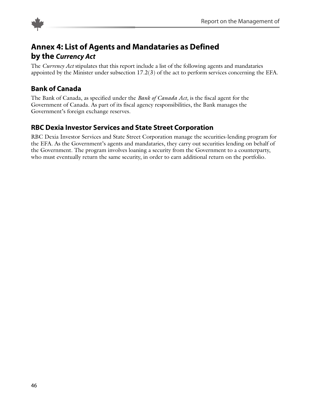<span id="page-45-0"></span>

# **Annex 4: List of Agents and Mandataries as Defined by the** *Currency Act*

The *Currency Act* stipulates that this report include a list of the following agents and mandataries appointed by the Minister under subsection 17.2(3) of the act to perform services concerning the EFA.

# **Bank of Canada**

The Bank of Canada, as specified under the *Bank of Canada Act,* is the fiscal agent for the Government of Canada. As part of its fiscal agency responsibilities, the Bank manages the Government's foreign exchange reserves.

# **RBC Dexia Investor Services and State Street Corporation**

RBC Dexia Investor Services and State Street Corporation manage the securities-lending program for the EFA. As the Government's agents and mandataries, they carry out securities lending on behalf of the Government. The program involves loaning a security from the Government to a counterparty, who must eventually return the same security, in order to earn additional return on the portfolio.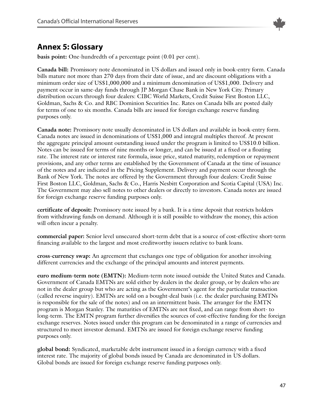

# <span id="page-46-0"></span>**Annex 5: Glossary**

**basis point:** One-hundredth of a percentage point (0.01 per cent).

**Canada bill:** Promissory note denominated in US dollars and issued only in book-entry form. Canada bills mature not more than 270 days from their date of issue, and are discount obligations with a minimum order size of US\$1,000,000 and a minimum denomination of US\$1,000. Delivery and payment occur in same-day funds through JP Morgan Chase Bank in New York City. Primary distribution occurs through four dealers: CIBC World Markets, Credit Suisse First Boston LLC, Goldman, Sachs & Co. and RBC Dominion Securities Inc. Rates on Canada bills are posted daily for terms of one to six months. Canada bills are issued for foreign exchange reserve funding purposes only.

**Canada note:** Promissory note usually denominated in US dollars and available in book-entry form. Canada notes are issued in denominations of US\$1,000 and integral multiples thereof. At present the aggregate principal amount outstanding issued under the program is limited to US\$10.0 billion. Notes can be issued for terms of nine months or longer, and can be issued at a fixed or a floating rate. The interest rate or interest rate formula, issue price, stated maturity, redemption or repayment provisions, and any other terms are established by the Government of Canada at the time of issuance of the notes and are indicated in the Pricing Supplement. Delivery and payment occur through the Bank of New York. The notes are offered by the Government through four dealers: Credit Suisse First Boston LLC, Goldman, Sachs & Co., Harris Nesbitt Corporation and Scotia Capital (USA) Inc. The Government may also sell notes to other dealers or directly to investors. Canada notes are issued for foreign exchange reserve funding purposes only.

**certificate of deposit:** Promissory note issued by a bank. It is a time deposit that restricts holders from withdrawing funds on demand. Although it is still possible to withdraw the money, this action will often incur a penalty.

**commercial paper:** Senior level unsecured short-term debt that is a source of cost-effective short-term financing available to the largest and most creditworthy issuers relative to bank loans.

**cross-currency swap:** An agreement that exchanges one type of obligation for another involving different currencies and the exchange of the principal amounts and interest payments.

**euro medium-term note (EMTN):** Medium-term note issued outside the United States and Canada. Government of Canada EMTNs are sold either by dealers in the dealer group, or by dealers who are not in the dealer group but who are acting as the Government's agent for the particular transaction (called reverse inquiry). EMTNs are sold on a bought-deal basis (i.e. the dealer purchasing EMTNs is responsible for the sale of the notes) and on an intermittent basis. The arranger for the EMTN program is Morgan Stanley. The maturities of EMTNs are not fixed, and can range from short- to long-term. The EMTN program further diversifies the sources of cost-effective funding for the foreign exchange reserves. Notes issued under this program can be denominated in a range of currencies and structured to meet investor demand. EMTNs are issued for foreign exchange reserve funding purposes only.

**global bond:** Syndicated, marketable debt instrument issued in a foreign currency with a fixed interest rate. The majority of global bonds issued by Canada are denominated in US dollars. Global bonds are issued for foreign exchange reserve funding purposes only.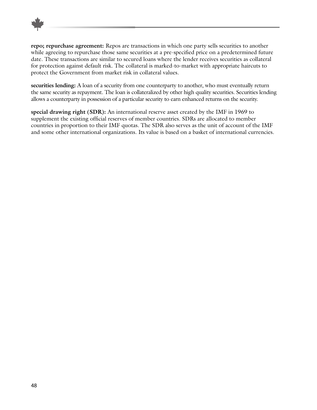

**repo; repurchase agreement:** Repos are transactions in which one party sells securities to another while agreeing to repurchase those same securities at a pre-specified price on a predetermined future date. These transactions are similar to secured loans where the lender receives securities as collateral for protection against default risk. The collateral is marked-to-market with appropriate haircuts to protect the Government from market risk in collateral values.

**securities lending:** A loan of a security from one counterparty to another, who must eventually return the same security as repayment. The loan is collateralized by other high quality securities. Securities lending allows a counterparty in possession of a particular security to earn enhanced returns on the security.

**special drawing right (SDR):** An international reserve asset created by the IMF in 1969 to supplement the existing official reserves of member countries. SDRs are allocated to member countries in proportion to their IMF quotas. The SDR also serves as the unit of account of the IMF and some other international organizations. Its value is based on a basket of international currencies.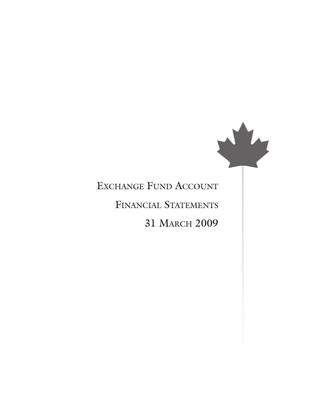

# EXCHANGE FUND ACCOUNT

# FINANCIAL STATEMENTS

# 31 MARCH 2009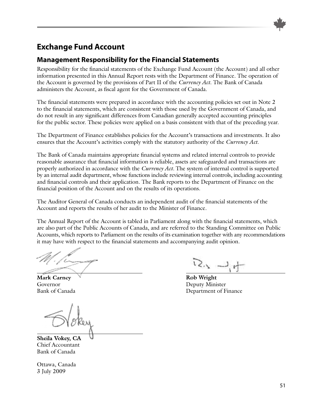

## **Management Responsibility for the Financial Statements**

Responsibility for the financial statements of the Exchange Fund Account (the Account) and all other information presented in this Annual Report rests with the Department of Finance. The operation of the Account is governed by the provisions of Part II of the *Currency Act*. The Bank of Canada administers the Account, as fiscal agent for the Government of Canada.

The financial statements were prepared in accordance with the accounting policies set out in Note 2 to the financial statements, which are consistent with those used by the Government of Canada, and do not result in any significant differences from Canadian generally accepted accounting principles for the public sector. These policies were applied on a basis consistent with that of the preceding year.

The Department of Finance establishes policies for the Account's transactions and investments. It also ensures that the Account's activities comply with the statutory authority of the *Currency Act.*

The Bank of Canada maintains appropriate financial systems and related internal controls to provide reasonable assurance that financial information is reliable, assets are safeguarded and transactions are properly authorized in accordance with the *Currency Act.* The system of internal control is supported by an internal audit department, whose functions include reviewing internal controls, including accounting and financial controls and their application. The Bank reports to the Department of Finance on the financial position of the Account and on the results of its operations.

The Auditor General of Canada conducts an independent audit of the financial statements of the Account and reports the results of her audit to the Minister of Finance.

The Annual Report of the Account is tabled in Parliament along with the financial statements, which are also part of the Public Accounts of Canada, and are referred to the Standing Committee on Public Accounts, which reports to Parliament on the results of its examination together with any recommendations it may have with respect to the financial statements and accompanying audit opinion.

**Mark Carney Rob Rob Rob Rob Rob Rob Rob Rob Rob Rob** 

**Sheila Vokey, CA** Chief Accountant Bank of Canada

Ottawa, Canada 3 July 2009

ロッコト

Governor Deputy Minister Bank of Canada Department of Finance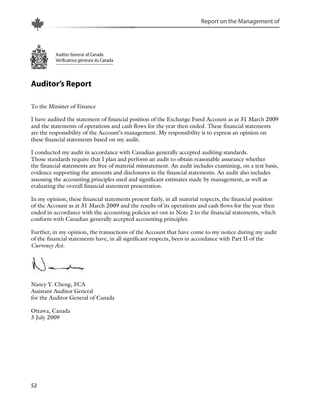

Auditor General of Canada Vérificatrice générale du Canada

# **Auditor's Report**

To the Minister of Finance

I have audited the statement of financial position of the Exchange Fund Account as at 31 March 2009 and the statements of operations and cash flows for the year then ended. These financial statements are the responsibility of the Account's management. My responsibility is to express an opinion on these financial statements based on my audit.

I conducted my audit in accordance with Canadian generally accepted auditing standards. Those standards require that I plan and perform an audit to obtain reasonable assurance whether the financial statements are free of material misstatement. An audit includes examining, on a test basis, evidence supporting the amounts and disclosures in the financial statements. An audit also includes assessing the accounting principles used and significant estimates made by management, as well as evaluating the overall financial statement presentation.

In my opinion, these financial statements present fairly, in all material respects, the financial position of the Account as at 31 March 2009 and the results of its operations and cash flows for the year then ended in accordance with the accounting policies set out in Note 2 to the financial statements, which conform with Canadian generally accepted accounting principles.

Further, in my opinion, the transactions of the Account that have come to my notice during my audit of the financial statements have, in all significant respects, been in accordance with Part II of the *Currency Act.*

Nancy Y. Cheng, FCA Assistant Auditor General for the Auditor General of Canada

Ottawa, Canada 3 July 2009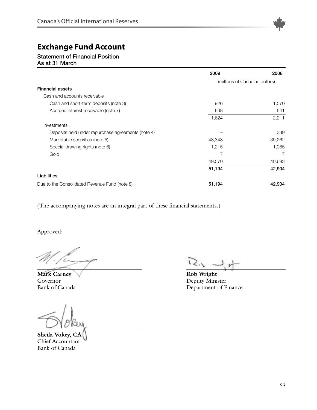

#### **Statement of Financial Position As at 31 March**

|                                                    | 2009                           | 2008   |
|----------------------------------------------------|--------------------------------|--------|
|                                                    | (millions of Canadian dollars) |        |
| <b>Financial assets</b>                            |                                |        |
| Cash and accounts receivable                       |                                |        |
| Cash and short-term deposits (note 3)              | 926                            | 1,570  |
| Accrued interest receivable (note 7)               | 698                            | 641    |
|                                                    | 1,624                          | 2,211  |
| Investments                                        |                                |        |
| Deposits held under repurchase agreements (note 4) |                                | 339    |
| Marketable securities (note 5)                     | 48,348                         | 39,262 |
| Special drawing rights (note 6)                    | 1,215                          | 1,085  |
| Gold                                               | 7                              | 7      |
|                                                    | 49,570                         | 40,693 |
|                                                    | 51,194                         | 42,904 |
| Liabilities                                        |                                |        |
| Due to the Consolidated Revenue Fund (note 8)      | 51,194                         | 42,904 |

(The accompanying notes are an integral part of these financial statements.)

Approved:

**Mark Carney Rob** Wright Governor Deputy Minister

**Sheila Vokey, CA** Chief Accountant Bank of Canada

Bank of Canada Department of Finance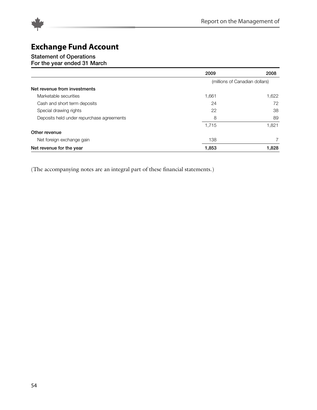



# **Statement of Operations**

# **For the year ended 31 March**

|                                           | 2009                           | 2008  |
|-------------------------------------------|--------------------------------|-------|
|                                           | (millions of Canadian dollars) |       |
| Net revenue from investments              |                                |       |
| Marketable securities                     | 1,661                          | 1,622 |
| Cash and short term deposits              | 24                             | 72    |
| Special drawing rights                    | 22                             | 38    |
| Deposits held under repurchase agreements | 8                              | 89    |
|                                           | 1.715                          | 1.821 |
| Other revenue                             |                                |       |
| Net foreign exchange gain                 | 138                            |       |
| Net revenue for the year                  | 1,853                          | 1,828 |

(The accompanying notes are an integral part of these financial statements.)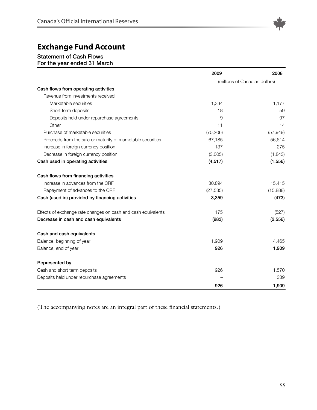

## **Statement of Cash Flows**

**For the year ended 31 March**

|                                                               | 2009      | 2008                           |
|---------------------------------------------------------------|-----------|--------------------------------|
|                                                               |           | (millions of Canadian dollars) |
| Cash flows from operating activities                          |           |                                |
| Revenue from investments received                             |           |                                |
| Marketable securities                                         | 1,334     | 1,177                          |
| Short term deposits                                           | 18        | 59                             |
| Deposits held under repurchase agreements                     | 9         | 97                             |
| Other                                                         | 11        | 14                             |
| Purchase of marketable securities                             | (70, 206) | (57, 949)                      |
| Proceeds from the sale or maturity of marketable securities   | 67,185    | 56,614                         |
| Increase in foreign currency position                         | 137       | 275                            |
| Decrease in foreign currency position                         | (3,005)   | (1,843)                        |
| Cash used in operating activities                             | (4, 517)  | (1, 556)                       |
| Cash flows from financing activities                          |           |                                |
| Increase in advances from the CRF                             | 30,894    | 15,415                         |
| Repayment of advances to the CRF                              | (27, 535) | (15,888)                       |
| Cash (used in) provided by financing activities               | 3,359     | (473)                          |
| Effects of exchange rate changes on cash and cash equivalents | 175       | (527)                          |
| Decrease in cash and cash equivalents                         | (983)     | (2, 556)                       |
| Cash and cash equivalents                                     |           |                                |
| Balance, beginning of year                                    | 1,909     | 4,465                          |
| Balance, end of year                                          | 926       | 1,909                          |
| Represented by                                                |           |                                |
| Cash and short term deposits                                  | 926       | 1,570                          |
| Deposits held under repurchase agreements                     |           | 339                            |
|                                                               | 926       | 1,909                          |

(The accompanying notes are an integral part of these financial statements.)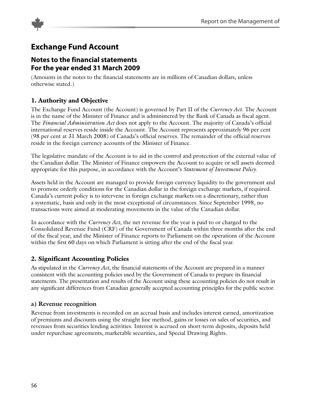

## **Notes to the financial statements For the year ended 31 March 2009**

(Amounts in the notes to the financial statements are in millions of Canadian dollars, unless otherwise stated.)

## **1. Authority and Objective**

The Exchange Fund Account (the Account) is governed by Part II of the *Currency Act*. The Account is in the name of the Minister of Finance and is administered by the Bank of Canada as fiscal agent. The *Financial Administration Act* does not apply to the Account. The majority of Canada's official international reserves reside inside the Account. The Account represents approximately 96 per cent (98 per cent at 31 March 2008) of Canada's official reserves. The remainder of the official reserves reside in the foreign currency accounts of the Minister of Finance.

The legislative mandate of the Account is to aid in the control and protection of the external value of the Canadian dollar. The Minister of Finance empowers the Account to acquire or sell assets deemed appropriate for this purpose, in accordance with the Account's *Statement of Investment Policy.*

Assets held in the Account are managed to provide foreign-currency liquidity to the government and to promote orderly conditions for the Canadian dollar in the foreign exchange markets, if required. Canada's current policy is to intervene in foreign exchange markets on a discretionary, rather than a systematic, basis and only in the most exceptional of circumstances. Since September 1998, no transactions were aimed at moderating movements in the value of the Canadian dollar.

In accordance with the *Currency Act*, the net revenue for the year is paid to or charged to the Consolidated Revenue Fund (CRF) of the Government of Canada within three months after the end of the fiscal year, and the Minister of Finance reports to Parliament on the operations of the Account within the first 60 days on which Parliament is sitting after the end of the fiscal year.

## **2. Significant Accounting Policies**

As stipulated in the *Currency Act*, the financial statements of the Account are prepared in a manner consistent with the accounting policies used by the Government of Canada to prepare its financial statements. The presentation and results of the Account using these accounting policies do not result in any significant differences from Canadian generally accepted accounting principles for the public sector.

#### **a) Revenue recognition**

Revenue from investments is recorded on an accrual basis and includes interest earned, amortization of premiums and discounts using the straight line method, gains or losses on sales of securities, and revenues from securities lending activities. Interest is accrued on short-term deposits, deposits held under repurchase agreements, marketable securities, and Special Drawing Rights.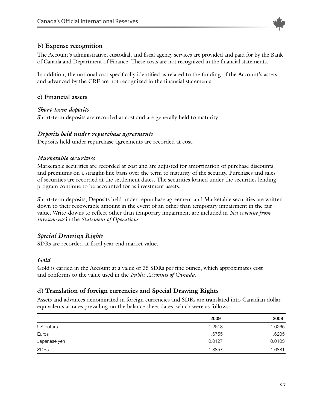

#### **b) Expense recognition**

The Account's administrative, custodial, and fiscal agency services are provided and paid for by the Bank of Canada and Department of Finance. These costs are not recognized in the financial statements.

In addition, the notional cost specifically identified as related to the funding of the Account's assets and advanced by the CRF are not recognized in the financial statements.

#### **c) Financial assets**

#### *Short-term deposits*

Short-term deposits are recorded at cost and are generally held to maturity.

#### *Deposits held under repurchase agreements*

Deposits held under repurchase agreements are recorded at cost.

#### *Marketable securities*

Marketable securities are recorded at cost and are adjusted for amortization of purchase discounts and premiums on a straight-line basis over the term to maturity of the security. Purchases and sales of securities are recorded at the settlement dates. The securities loaned under the securities lending program continue to be accounted for as investment assets.

Short-term deposits, Deposits held under repurchase agreement and Marketable securities are written down to their recoverable amount in the event of an other than temporary impairment in the fair value. Write-downs to reflect other than temporary impairment are included in *Net revenue from investments* in the *Statement of Operations.*

#### *Special Drawing Rights*

SDRs are recorded at fiscal year-end market value.

#### *Gold*

Gold is carried in the Account at a value of 35 SDRs per fine ounce, which approximates cost and conforms to the value used in the *Public Accounts of Canada.*

#### **d) Translation of foreign currencies and Special Drawing Rights**

Assets and advances denominated in foreign currencies and SDRs are translated into Canadian dollar equivalents at rates prevailing on the balance sheet dates, which were as follows:

|              | 2009   | 2008   |
|--------------|--------|--------|
| US dollars   | 1.2613 | 1.0265 |
| Euros        | 1.6755 | 1.6205 |
| Japanese yen | 0.0127 | 0.0103 |
| <b>SDRs</b>  | 1.8857 | 1.6881 |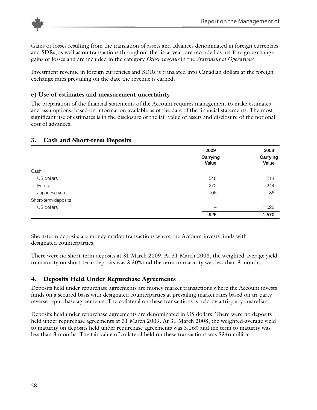

Gains or losses resulting from the translation of assets and advances denominated in foreign currencies and SDRs, as well as on transactions throughout the fiscal year, are recorded as net foreign exchange gains or losses and are included in the category *Other revenue* in the *Statement of Operations*.

Investment revenue in foreign currencies and SDRs is translated into Canadian dollars at the foreign exchange rates prevailing on the date the revenue is earned.

#### **e) Use of estimates and measurement uncertainty**

The preparation of the financial statements of the Account requires management to make estimates and assumptions, based on information available as of the date of the financial statements. The most significant use of estimates is in the disclosure of the fair value of assets and disclosure of the notional cost of advances.

#### **3. Cash and Short-term Deposits**

|                     | 2009              | 2008              |
|---------------------|-------------------|-------------------|
|                     | Carrying<br>Value | Carrying<br>Value |
| Cash                |                   |                   |
| US dollars          | 548               | 214               |
| Euros               | 272               | 244               |
| Japanese yen        | 106               | 86                |
| Short-term deposits |                   |                   |
| US dollars          |                   | 1,026             |
|                     | 926               | 1,570             |

Short-term deposits are money market transactions where the Account invests funds with designated counterparties.

There were no short-term deposits at 31 March 2009. At 31 March 2008, the weighted-average yield to maturity on short-term deposits was 3.30% and the term to maturity was less than 3 months.

## **4. Deposits Held Under Repurchase Agreements**

Deposits held under repurchase agreements are money market transactions where the Account invests funds on a secured basis with designated counterparties at prevailing market rates based on tri-party reverse repurchase agreements. The collateral on these transactions is held by a tri-party custodian.

Deposits held under repurchase agreements are denominated in US dollars. There were no deposits held under repurchase agreements at 31 March 2009. At 31 March 2008, the weighted-average yield to maturity on deposits held under repurchase agreements was 3.16% and the term to maturity was less than 3 months. The fair value of collateral held on these transactions was \$346 million.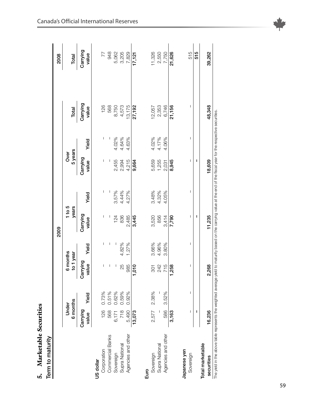| 5. Marketable Securities<br>Term to maturity                                                                                                                            |                   |       |                       |       |                   |              |                   |         |                   |                   |
|-------------------------------------------------------------------------------------------------------------------------------------------------------------------------|-------------------|-------|-----------------------|-------|-------------------|--------------|-------------------|---------|-------------------|-------------------|
|                                                                                                                                                                         |                   |       |                       |       | 2009              |              |                   |         |                   | 2008              |
|                                                                                                                                                                         | 6 months<br>Under |       | 6 months<br>to 1 year |       | $1$ to 5<br>years |              | 5 years<br>Over   |         | Total             | Total             |
|                                                                                                                                                                         | Carrying<br>value | Yield | Carrying<br>value     | Yield | Carrying<br>value | Yield        | Carrying<br>value | Yield   | Carrying<br>value | Carrying<br>value |
| US dollar                                                                                                                                                               |                   |       |                       |       |                   |              |                   |         |                   |                   |
| Corporation                                                                                                                                                             | 126               | 0.73% | I                     | ı     | I                 | I            | I                 | I       | 126               | 77                |
| Commercial Banks                                                                                                                                                        | 568               | 0.51% | I                     | I     |                   | $\mathsf{l}$ |                   | $\vert$ | 568               | 948               |
| Sovereign                                                                                                                                                               | 6,171             | 0.62% | I                     | I     | 124               | 3.57%        | 2,455             | 4.02%   | 8,750             | 5,062             |
| Supra National                                                                                                                                                          | 718               | 0.59% | 25                    | 4.82% | 836               | 4.44%        | 2,994             | 4.64%   | 4,573<br>13,175   | 3,205             |
| Agencies and other                                                                                                                                                      | 5,490             | 0.92% | 985                   | 1.27% | 2,485             | 4.27%        | 4,215             | 4.63%   |                   | 7,829             |
|                                                                                                                                                                         | 13,073            |       | 010                   |       | 3,445             |              | 9,664             |         | 27,192            | 17,121            |
| Euro                                                                                                                                                                    |                   |       |                       |       |                   |              |                   |         |                   |                   |
| Sovereign                                                                                                                                                               | 2,577             | 2.38% | 301                   | 3.66% | 3,520             | 3.48%        | 5,659             | 4.02%   | 12,057            | 11,326            |
| Supra National                                                                                                                                                          |                   |       | 242                   | 4.96% | 856               | 4.32%        | 1,255             | 4.17%   | 2,353             | 2,550             |
| Agencies and other                                                                                                                                                      | 586               | 3.52% | 715                   | 3.80% | 3,414             | 4.05%        | 2,031             | 4.06%   | 6,746             | 7,750             |
|                                                                                                                                                                         | 3,163             |       | 258                   |       | 7,790             |              | 8,945             |         | 21,156            | 21,626            |
| Japanese yen                                                                                                                                                            |                   |       |                       |       |                   |              |                   |         |                   |                   |
| Sovereign                                                                                                                                                               | ı                 | I     | I                     | I     | I                 | I            | I                 | I       | ı                 | 515               |
|                                                                                                                                                                         | I                 |       |                       |       | ı                 |              | ı                 |         |                   | 515               |
| Total marketable<br>securities                                                                                                                                          | 16,236            |       | 2,268                 |       | 11,235            |              | 18,609            |         | 48,348            | 39,262            |
| The yield in the above table represents the weighted average yield to maturity based on the carrying value at the end of the fiscal year for the respective securities. |                   |       |                       |       |                   |              |                   |         |                   |                   |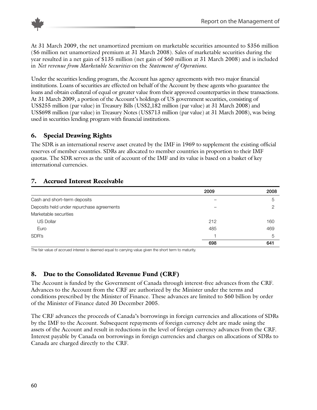

At 31 March 2009, the net unamortized premium on marketable securities amounted to \$356 million (\$6 million net unamortized premium at 31 March 2008). Sales of marketable securities during the year resulted in a net gain of \$135 million (net gain of \$60 million at 31 March 2008) and is included in *Net revenue from Marketable Securities* on the *Statement of Operations.*

Under the securities lending program, the Account has agency agreements with two major financial institutions. Loans of securities are effected on behalf of the Account by these agents who guarantee the loans and obtain collateral of equal or greater value from their approved counterparties in these transactions. At 31 March 2009, a portion of the Account's holdings of US government securities, consisting of US\$255 million (par value) in Treasury Bills (US\$2,182 million (par value) at 31 March 2008) and US\$698 million (par value) in Treasury Notes (US\$713 million (par value) at 31 March 2008), was being used in securities lending program with financial institutions.

## **6. Special Drawing Rights**

The SDR is an international reserve asset created by the IMF in 1969 to supplement the existing official reserves of member countries. SDRs are allocated to member countries in proportion to their IMF quotas. The SDR serves as the unit of account of the IMF and its value is based on a basket of key international currencies.

## **7. Accrued Interest Receivable**

|                                           | 2009 | 2008 |
|-------------------------------------------|------|------|
| Cash and short-term deposits              |      | 5    |
| Deposits held under repurchase agreements |      | っ    |
| Marketable securities                     |      |      |
| <b>US Dollar</b>                          | 212  | 160  |
| Euro                                      | 485  | 469  |
| SDR's                                     |      | 5    |
|                                           | 698  | 641  |

The fair value of accrued interest is deemed equal to carrying value given the short term to maturity.

## **8. Due to the Consolidated Revenue Fund (CRF)**

The Account is funded by the Government of Canada through interest-free advances from the CRF. Advances to the Account from the CRF are authorized by the Minister under the terms and conditions prescribed by the Minister of Finance. These advances are limited to \$60 billion by order of the Minister of Finance dated 30 December 2005.

The CRF advances the proceeds of Canada's borrowings in foreign currencies and allocations of SDRs by the IMF to the Account. Subsequent repayments of foreign currency debt are made using the assets of the Account and result in reductions in the level of foreign currency advances from the CRF. Interest payable by Canada on borrowings in foreign currencies and charges on allocations of SDRs to Canada are charged directly to the CRF.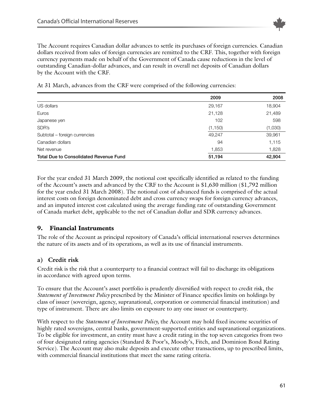

The Account requires Canadian dollar advances to settle its purchases of foreign currencies. Canadian dollars received from sales of foreign currencies are remitted to the CRF. This, together with foreign currency payments made on behalf of the Government of Canada cause reductions in the level of outstanding Canadian-dollar advances, and can result in overall net deposits of Canadian dollars by the Account with the CRF.

At 31 March, advances from the CRF were comprised of the following currencies:

|                                               | 2009     | 2008    |
|-----------------------------------------------|----------|---------|
| US dollars                                    | 29,167   | 18,904  |
| Euros                                         | 21,128   | 21,489  |
| Japanese yen                                  | 102      | 598     |
| SDR's                                         | (1, 150) | (1,030) |
| Subtotal - foreign currencies                 | 49.247   | 39,961  |
| Canadian dollars                              | 94       | 1,115   |
| Net revenue                                   | 1,853    | 1,828   |
| <b>Total Due to Consolidated Revenue Fund</b> | 51,194   | 42,904  |

For the year ended 31 March 2009, the notional cost specifically identified as related to the funding of the Account's assets and advanced by the CRF to the Account is \$1,630 million (\$1,792 million for the year ended 31 March 2008). The notional cost of advanced funds is comprised of the actual interest costs on foreign denominated debt and cross currency swaps for foreign currency advances, and an imputed interest cost calculated using the average funding rate of outstanding Government of Canada market debt, applicable to the net of Canadian dollar and SDR currency advances.

#### **9. Financial Instruments**

The role of the Account as principal repository of Canada's official international reserves determines the nature of its assets and of its operations, as well as its use of financial instruments.

#### **a) Credit risk**

Credit risk is the risk that a counterparty to a financial contract will fail to discharge its obligations in accordance with agreed upon terms.

To ensure that the Account's asset portfolio is prudently diversified with respect to credit risk, the *Statement of Investment Policy* prescribed by the Minister of Finance specifies limits on holdings by class of issuer (sovereign, agency, supranational, corporation or commercial financial institution) and type of instrument. There are also limits on exposure to any one issuer or counterparty.

With respect to the *Statement of Investment Policy,* the Account may hold fixed income securities of highly rated sovereigns, central banks, government-supported entities and supranational organizations. To be eligible for investment, an entity must have a credit rating in the top seven categories from two of four designated rating agencies (Standard & Poor's, Moody's, Fitch, and Dominion Bond Rating Service). The Account may also make deposits and execute other transactions, up to prescribed limits, with commercial financial institutions that meet the same rating criteria.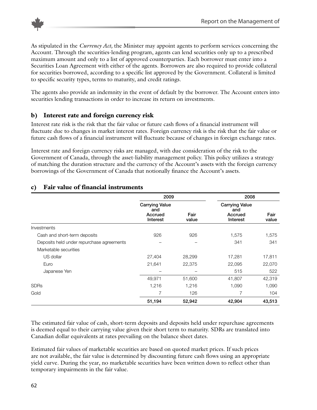

As stipulated in the *Currency Act,* the Minister may appoint agents to perform services concerning the Account. Through the securities-lending program, agents can lend securities only up to a prescribed maximum amount and only to a list of approved counterparties. Each borrower must enter into a Securities Loan Agreement with either of the agents. Borrowers are also required to provide collateral for securities borrowed, according to a specific list approved by the Government. Collateral is limited to specific security types, terms to maturity, and credit ratings.

The agents also provide an indemnity in the event of default by the borrower. The Account enters into securities lending transactions in order to increase its return on investments.

## **b) Interest rate and foreign currency risk**

Interest rate risk is the risk that the fair value or future cash flows of a financial instrument will fluctuate due to changes in market interest rates. Foreign currency risk is the risk that the fair value or future cash flows of a financial instrument will fluctuate because of changes in foreign exchange rates.

Interest rate and foreign currency risks are managed, with due consideration of the risk to the Government of Canada, through the asset-liability management policy. This policy utilizes a strategy of matching the duration structure and the currency of the Account's assets with the foreign currency borrowings of the Government of Canada that notionally finance the Account's assets.

|                                           | 2009                                                |               | 2008                                                |               |
|-------------------------------------------|-----------------------------------------------------|---------------|-----------------------------------------------------|---------------|
|                                           | <b>Carrying Value</b><br>and<br>Accrued<br>Interest | Fair<br>value | <b>Carrying Value</b><br>and<br>Accrued<br>Interest | Fair<br>value |
| Investments                               |                                                     |               |                                                     |               |
| Cash and short-term deposits              | 926                                                 | 926           | 1,575                                               | 1,575         |
| Deposits held under repurchase agreements |                                                     |               | 341                                                 | 341           |
| Marketable securities                     |                                                     |               |                                                     |               |
| US dollar                                 | 27,404                                              | 28,299        | 17,281                                              | 17,811        |
| Euro                                      | 21,641                                              | 22,375        | 22,095                                              | 22,070        |
| Japanese Yen                              |                                                     |               | 515                                                 | 522           |
|                                           | 49,971                                              | 51,600        | 41,807                                              | 42,319        |
| <b>SDRs</b>                               | 1,216                                               | 1,216         | 1,090                                               | 1,090         |
| Gold                                      | 7                                                   | 126           | 7                                                   | 104           |
|                                           | 51,194                                              | 52,942        | 42,904                                              | 43,513        |

## **c) Fair value of financial instruments**

The estimated fair value of cash, short-term deposits and deposits held under repurchase agreements is deemed equal to their carrying value given their short term to maturity. SDRs are translated into Canadian dollar equivalents at rates prevailing on the balance sheet dates.

Estimated fair values of marketable securities are based on quoted market prices. If such prices are not available, the fair value is determined by discounting future cash flows using an appropriate yield curve. During the year, no marketable securities have been written down to reflect other than temporary impairments in the fair value.